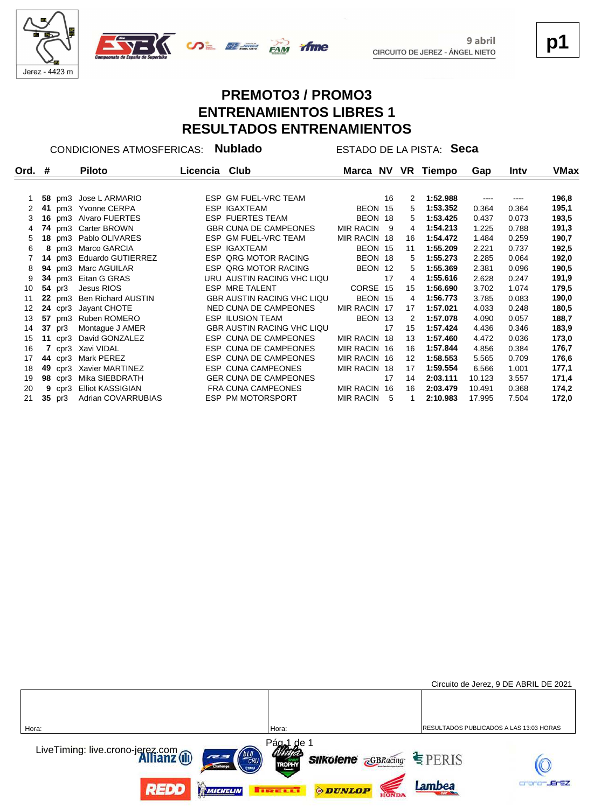



**p1**

# **PREMOTO3 / PROMO3 ENTRENAMIENTOS LIBRES 1 RESULTADOS ENTRENAMIENTOS**

CONDICIONES ATMOSFERICAS: **Nublado** ESTADO DE LA PISTA: **Seca**

| Ord. # |    |                | <b>Piloto</b>             | Licencia Club |                                   |                  |     |    | Marca NV VR Tiempo | Gap    | Intv  | VMax  |
|--------|----|----------------|---------------------------|---------------|-----------------------------------|------------------|-----|----|--------------------|--------|-------|-------|
|        |    |                | 58 pm3 Jose L ARMARIO     |               | ESP GM FUEL-VRC TEAM              |                  | 16  | 2  | 1:52.988           | ----   | ----  | 196,8 |
|        | 41 |                | pm3 Yvonne CERPA          |               | <b>ESP IGAXTEAM</b>               | BEON 15          |     | 5  | 1:53.352           | 0.364  | 0.364 | 195,1 |
|        |    |                |                           |               |                                   |                  |     |    |                    |        |       |       |
| 3      | 16 |                | pm3 Alvaro FUERTES        |               | <b>ESP FUERTES TEAM</b>           | BEON 18          |     | 5  | 1:53.425           | 0.437  | 0.073 | 193,5 |
| 4      |    |                | 74 pm3 Carter BROWN       |               | <b>GBR CUNA DE CAMPEONES</b>      | <b>MIR RACIN</b> | - 9 | 4  | 1:54.213           | 1.225  | 0.788 | 191,3 |
| 5      | 18 |                | pm3 Pablo OLIVARES        |               | ESP GM FUEL-VRC TEAM              | MIR RACIN 18     |     | 16 | 1:54.472           | 1.484  | 0.259 | 190,7 |
| 6      |    |                | 8 pm3 Marco GARCIA        |               | <b>ESP IGAXTEAM</b>               | BEON 15          |     | 11 | 1:55.209           | 2.221  | 0.737 | 192,5 |
|        |    |                | 14 pm3 Eduardo GUTIERREZ  |               | <b>ESP QRG MOTOR RACING</b>       | BEON 18          |     | 5  | 1:55.273           | 2.285  | 0.064 | 192,0 |
| 8      |    | <b>94</b> pm3  | Marc AGUILAR              |               | <b>ESP QRG MOTOR RACING</b>       | BEON 12          |     | 5  | 1:55.369           | 2.381  | 0.096 | 190,5 |
| 9      |    |                | 34 pm3 Eitan G GRAS       |               | URU AUSTIN RACING VHC LIQU        |                  | 17  | 4  | 1:55.616           | 2.628  | 0.247 | 191,9 |
| 10     |    | 54 pr3         | Jesus RIOS                |               | ESP MRE TALENT                    | CORSE 15         |     | 15 | 1:56.690           | 3.702  | 1.074 | 179,5 |
| 11     |    |                | 22 pm3 Ben Richard AUSTIN |               | <b>GBR AUSTIN RACING VHC LIQU</b> | BEON 15          |     | 4  | 1:56.773           | 3.785  | 0.083 | 190,0 |
| 12     |    | $24$ cpr3      | Jayant CHOTE              |               | NED CUNA DE CAMPEONES             | MIR RACIN 17     |     | 17 | 1:57.021           | 4.033  | 0.248 | 180,5 |
| 13     | 57 | pm3            | Ruben ROMERO              |               | <b>ESP ILUSION TEAM</b>           | BEON 13          |     | 2  | 1:57.078           | 4.090  | 0.057 | 188,7 |
| 14     | 37 | pr3            | Montague J AMER           |               | <b>GBR AUSTIN RACING VHC LIQU</b> |                  | 17  | 15 | 1:57.424           | 4.436  | 0.346 | 183,9 |
| 15     |    | 11 $cpr3$      | David GONZALEZ            |               | ESP CUNA DE CAMPEONES             | MIR RACIN 18     |     | 13 | 1:57.460           | 4.472  | 0.036 | 173,0 |
| 16     | 7  |                | cpr3 Xavi VIDAL           |               | ESP CUNA DE CAMPEONES             | MIR RACIN 16     |     | 16 | 1:57.844           | 4.856  | 0.384 | 176,7 |
| 17     | 44 | cpr3           | Mark PEREZ                |               | ESP CUNA DE CAMPEONES             | MIR RACIN 16     |     | 12 | 1:58.553           | 5.565  | 0.709 | 176,6 |
| 18     | 49 | cpr3           | Xavier MARTINEZ           |               | <b>ESP CUNA CAMPEONES</b>         | MIR RACIN 18     |     | 17 | 1:59.554           | 6.566  | 1.001 | 177,1 |
| 19     |    | <b>98</b> cpr3 | Mika SIEBDRATH            |               | <b>GER CUNA DE CAMPEONES</b>      |                  | 17  | 14 | 2:03.111           | 10.123 | 3.557 | 171,4 |
| 20     | 9  | cpr3           | <b>Elliot KASSIGIAN</b>   |               | <b>FRA CUNA CAMPEONES</b>         | <b>MIR RACIN</b> | 16  | 16 | 2:03.479           | 10.491 | 0.368 | 174,2 |
| 21     | 35 | pr3            | Adrian COVARRUBIAS        |               | ESP PM MOTORSPORT                 | MIR RACIN        | - 5 |    | 2:10.983           | 17.995 | 7.504 | 172,0 |

|                                                         |                                                                             | Circuito de Jerez, 9 DE ABRIL DE 2021   |
|---------------------------------------------------------|-----------------------------------------------------------------------------|-----------------------------------------|
|                                                         |                                                                             |                                         |
| Hora:                                                   | Hora:                                                                       | RESULTADOS PUBLICADOS A LAS 13:03 HORAS |
| LiveTiming: live.crono-jerez.com<br><b>Allianz</b> (II) | Pág <sub>al</sub> de 1<br><b>Silkolene GBRacing SPERIS</b><br><b>TROPHY</b> |                                         |
| REDD<br>MICHELIN                                        | <b>ODUNLOP</b><br><b>THE EXET</b>                                           | <b>JEFEZ</b><br>Lambea                  |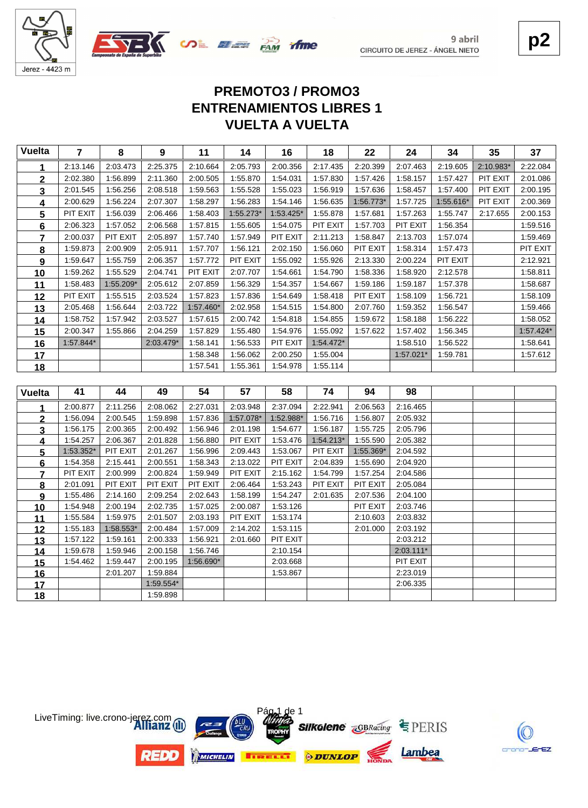



**p2**

# **VUELTA A VUELTA ENTRENAMIENTOS LIBRES 1 PREMOTO3 / PROMO3**

| <b>Vuelta</b>   | $\overline{7}$       | 8                    | 9                    | 11                   | 14        | 16                   | 18        | 22        | 24                    | 34        | 35        | 37          |
|-----------------|----------------------|----------------------|----------------------|----------------------|-----------|----------------------|-----------|-----------|-----------------------|-----------|-----------|-------------|
| 1               | 2:13.146             | 2:03.473             | 2:25.375             | 2:10.664             | 2:05.793  | 2:00.356             | 2:17.435  | 2:20.399  | 2:07.463              | 2:19.605  | 2:10.983* | 2:22.084    |
| $\mathbf 2$     | 2:02.380             | 1:56.899             | 2:11.360             | 2:00.505             | 1:55.870  | 1:54.031             | 1:57.830  | 1:57.426  | 1:58.157              | 1:57.427  | PIT EXIT  | 2:01.086    |
| 3               | 2:01.545             | 1:56.256             | 2:08.518             | 1:59.563             | 1:55.528  | 1:55.023             | 1:56.919  | 1:57.636  | 1:58.457              | 1:57.400  | PIT EXIT  | 2:00.195    |
| 4               | 2:00.629             | 1:56.224             | 2:07.307             | 1:58.297             | 1:56.283  | 1:54.146             | 1:56.635  | 1:56.773* | 1:57.725              | 1:55.616* | PIT EXIT  | 2:00.369    |
| 5               | PIT EXIT             | 1:56.039             | 2:06.466             | 1:58.403             | 1:55.273* | 1:53.425*            | 1:55.878  | 1:57.681  | 1:57.263              | 1:55.747  | 2:17.655  | 2:00.153    |
| 6               | 2:06.323             | 1:57.052             | 2:06.568             | 1:57.815             | 1:55.605  | 1:54.075             | PIT EXIT  | 1:57.703  | PIT EXIT              | 1:56.354  |           | 1:59.516    |
| $\overline{7}$  | 2:00.037             | PIT EXIT             | 2:05.897             | 1:57.740             | 1:57.949  | PIT EXIT             | 2:11.213  | 1:58.847  | 2:13.703              | 1:57.074  |           | 1:59.469    |
| 8               | 1:59.873             | 2:00.909             | 2:05.911             | 1:57.707             | 1:56.121  | 2:02.150             | 1:56.060  | PIT EXIT  | 1:58.314              | 1:57.473  |           | PIT EXIT    |
| 9               | 1:59.647             | 1:55.759             | 2:06.357             | 1:57.772             | PIT EXIT  | 1:55.092             | 1:55.926  | 2:13.330  | 2:00.224              | PIT EXIT  |           | 2:12.921    |
| 10              | 1:59.262             | 1:55.529             | 2:04.741             | PIT EXIT             | 2:07.707  | 1:54.661             | 1:54.790  | 1:58.336  | 1:58.920              | 2:12.578  |           | 1:58.811    |
| 11              | 1:58.483             | 1:55.209*            | 2:05.612             | 2:07.859             | 1:56.329  | 1:54.357             | 1:54.667  | 1:59.186  | 1:59.187              | 1:57.378  |           | 1:58.687    |
| 12              | PIT EXIT             | 1:55.515             | 2:03.524             | 1:57.823             | 1:57.836  | 1:54.649             | 1:58.418  | PIT EXIT  | 1:58.109              | 1:56.721  |           | 1:58.109    |
| 13              | 2:05.468             | 1:56.644             | 2:03.722             | 1:57.460*            | 2:02.958  | 1:54.515             | 1:54.800  | 2:07.760  | 1:59.352              | 1:56.547  |           | 1:59.466    |
| 14              | 1:58.752             | 1:57.942             | 2:03.527             | 1:57.615             | 2:00.742  | 1:54.818             | 1:54.855  | 1:59.672  | 1:58.188              | 1:56.222  |           | 1:58.052    |
| 15              | 2:00.347             | 1:55.866             | 2:04.259             | 1:57.829             | 1:55.480  | 1:54.976             | 1:55.092  | 1:57.622  | 1:57.402              | 1:56.345  |           | $1:57.424*$ |
| 16              | 1:57.844*            |                      | 2:03.479*            | 1:58.141             | 1:56.533  | PIT EXIT             | 1:54.472* |           | 1:58.510              | 1:56.522  |           | 1:58.641    |
| 17              |                      |                      |                      | 1:58.348             | 1:56.062  | 2:00.250             | 1:55.004  |           | 1:57.021*             | 1:59.781  |           | 1:57.612    |
| 18              |                      |                      |                      | 1:57.541             | 1:55.361  | 1:54.978             | 1:55.114  |           |                       |           |           |             |
|                 |                      |                      |                      |                      |           |                      |           |           |                       |           |           |             |
|                 |                      |                      |                      |                      |           |                      |           |           |                       |           |           |             |
| <b>Vuelta</b>   | 41                   | 44                   | 49                   | 54                   | 57        | 58                   | 74        | 94        | 98                    |           |           |             |
| 1               | 2:00.877             | 2:11.256             | 2:08.062             | 2:27.031             | 2:03.948  | 2:37.094             | 2:22.941  | 2:06.563  | 2:16.465              |           |           |             |
| $\overline{2}$  | 1:56.094             | 2:00.545             | 1:59.898             | 1:57.836             | 1:57.078* | 1:52.988*            | 1:56.716  | 1:56.807  | 2:05.932              |           |           |             |
| 3               | 1:56.175             | 2:00.365             | 2:00.492             | 1:56.946             | 2:01.198  | 1:54.677             | 1:56.187  | 1:55.725  | 2:05.796              |           |           |             |
| <u>4</u>        | 1:54.257             | 2:06.367             | 2:01.828             | 1:56.880             | PIT EXIT  | 1:53.476             | 1:54.213* | 1:55.590  | 2:05.382              |           |           |             |
| 5               | 1:53.352*            | PIT EXIT             | 2:01.267             | 1:56.996             | 2:09.443  | 1:53.067             | PIT EXIT  | 1:55.369* | 2:04.592              |           |           |             |
| 6               | 1:54.358             | 2:15.441             | 2:00.551             | 1:58.343             | 2:13.022  | PIT EXIT             | 2:04.839  | 1:55.690  | 2:04.920              |           |           |             |
| $\overline{7}$  | PIT EXIT             | 2:00.999             | 2:00.824             | 1:59.949             | PIT EXIT  | 2:15.162             | 1:54.799  | 1:57.254  | 2:04.586              |           |           |             |
| $\bf{8}$        | 2:01.091             | PIT EXIT             | PIT EXIT             | PIT EXIT             | 2:06.464  | 1:53.243             | PIT EXIT  | PIT EXIT  | 2:05.084              |           |           |             |
| 9               | 1:55.486             | 2:14.160             | 2:09.254             | 2:02.643             | 1:58.199  | 1:54.247             | 2:01.635  | 2:07.536  | 2:04.100              |           |           |             |
| 10              | 1:54.948             | 2:00.194             | 2:02.735             | 1:57.025             | 2:00.087  | 1:53.126             |           | PIT EXIT  | 2:03.746              |           |           |             |
| <u>11</u>       | 1:55.584             | 1:59.975             | 2:01.507             | 2:03.193             | PIT EXIT  | 1:53.174             |           | 2:10.603  | 2:03.832              |           |           |             |
| 12              | 1:55.183             | 1:58.553*            | 2:00.484             | 1:57.009             | 2:14.202  | 1:53.115             |           | 2:01.000  | 2:03.192              |           |           |             |
| 13              | 1:57.122<br>1:59.678 | 1:59.161<br>1:59.946 | 2:00.333<br>2:00.158 | 1:56.921<br>1:56.746 | 2:01.660  | PIT EXIT<br>2:10.154 |           |           | 2:03.212<br>2:03.111* |           |           |             |
| 14              | 1:54.462             | 1:59.447             | 2:00.195             | 1:56.690*            |           | 2:03.668             |           |           | PIT EXIT              |           |           |             |
| 15              |                      | 2:01.207             | 1:59.884             |                      |           | 1:53.867             |           |           | 2:23.019              |           |           |             |
| <u>16</u><br>17 |                      |                      | 1:59.554*            |                      |           |                      |           |           | 2:06.335              |           |           |             |



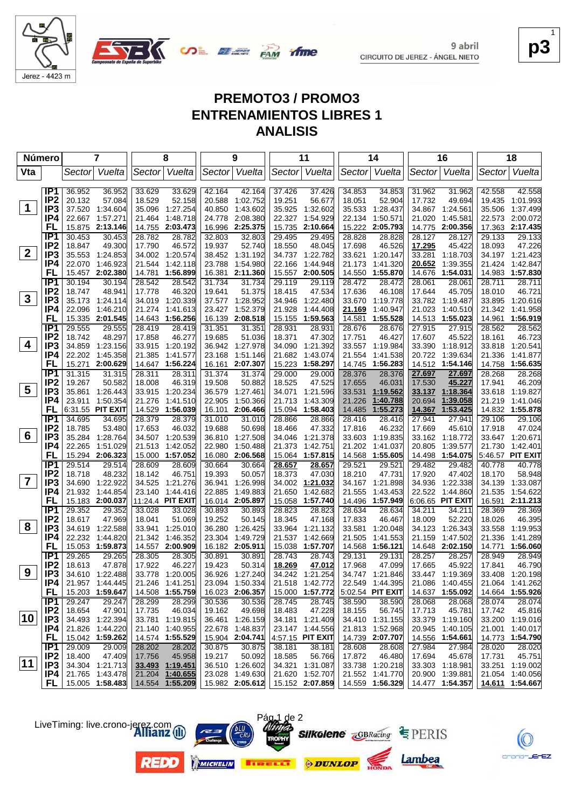

**p3** 1

EZ.

# **PREMOTO3 / PROMO3 ENTRENAMIENTOS LIBRES 1 ANALISIS**

**SALE AND TIME** 

| Número                  |                        | 7                                     |        | 8                                      |                  | 9                                  |                  | 11                   |                  | 14                                 |                  | 16                                 |                  | 18                                 |
|-------------------------|------------------------|---------------------------------------|--------|----------------------------------------|------------------|------------------------------------|------------------|----------------------|------------------|------------------------------------|------------------|------------------------------------|------------------|------------------------------------|
| Vta                     |                        | Vuelta<br>Sector                      |        | Vuelta<br>Sector                       |                  | Sector Vuelta                      |                  | Sector Vuelta        | Sector           | Vuelta                             |                  | Sector Vuelta                      | Sector           | Vuelta                             |
|                         | IP <sub>1</sub>        | 36.952                                | 36.952 | 33.629<br>33.629                       | 42.164           | 42.164                             | 37.426           | 37.426               | 34.853           | 34.853                             | 31.962           | 31.962                             | 42.558           | 42.558                             |
|                         | IP <sub>2</sub>        | 20.132                                | 57.084 | 18.529<br>52.158                       | 20.588           | 1:02.752                           | 19.251           | 56.677               | 18.051           | 52.904                             | 17.732           | 49.694                             |                  | 19.435 1:01.993                    |
| $\mathbf 1$             | IP3                    | 37.520<br>1:34.604                    |        | 35.096<br>1:27.254                     | 40.850           | 1:43.602                           | 35.925           | 1:32.602             | 35.533           | 1:28.437                           | 34.867           | 1:24.561                           | 35.506           | 1:37.499                           |
|                         | IP4                    | 22.667 1:57.271                       |        | 21.464<br>1:48.718                     | 24.778           | 2:08.380                           | 22.327           | 1:54.929             | 22.134           | 1:50.571                           | 21.020           | 1:45.581                           |                  | 22.573 2:00.072                    |
|                         | FL                     | 15.875 2:13.146                       |        | 14.755 2:03.473                        | 16.996           | 2:25.375                           | 15.735           | 2:10.664             | 15.222           | 2:05.793                           | 14.775           | 2:00.356                           |                  | 17.363 2:17.435                    |
|                         | IP <sub>1</sub>        | 30.453                                | 30.453 | 28.782<br>28.782                       | 32.803           | 32.803                             | 29.495           | 29.495               | 28.828           | 28.828                             | 28.127           | 28.127                             | 29.133           | 29.133                             |
|                         | IP <sub>2</sub>        | 18.847                                | 49.300 | 17.790<br>46.572                       | 19.937           | 52.740                             | 18.550           | 48.045               | 17.698           | 46.526                             | 17.295           | 45.422                             | 18.093           | 47.226                             |
| $2^{\circ}$             | IP3                    | 35.553<br>1:24.853                    |        | 34.002 1:20.574                        | 38.452           | 1:31.192                           | 34.737           | 1:22.782             | 33.621           | 1:20.147                           | 33.281           | 1:18.703                           |                  | 34.197 1:21.423                    |
|                         | IP4                    | 22.070<br>1:46.923                    |        | 21.544<br>1:42.118                     | 23.788           | 1:54.980                           | 22.166           | 1:44.948             | 21.173           | 1:41.320                           | 20.652           | 1:39.355                           | 21.424           | 1:42.847                           |
|                         | FL                     | 15.457<br>2:02.380                    |        | 14.781<br>1:56.899                     | 16.381           | 2:11.360                           | 15.557           | 2:00.505             | 14.550           | 1:55.870                           | 14.676           | 1:54.031                           |                  | 14.983 1:57.830                    |
|                         | IP <sub>1</sub>        | 30.194                                | 30.194 | 28.542<br>28.542                       | 31.734           | 31.734                             | 29.119           | 29.119               | 28.472           | 28.472                             | 28.061           | 28.061                             | 28.711           | 28.711                             |
|                         | IP <sub>2</sub>        | 18.747<br>48.941                      |        | 17.778<br>46.320                       | 19.641           | 51.375                             | 18.415           | 47.534               | 17.636           | 46.108                             | 17.644           | 45.705                             | 18.010           | 46.721                             |
| $\mathbf{3}$            | IP <sub>3</sub>        | 35.173<br>1:24.114                    |        | 34.019 1:20.339                        | 37.577           | 1:28.952                           | 34.946           | 1:22.480             | 33.670           | 1:19.778                           |                  | 33.782 1:19.487                    |                  | 33.895 1:20.616                    |
|                         | IP4                    | 22.096<br>1:46.210                    |        | 21.274<br>1:41.613                     | 23.427           | 1:52.379                           | 21.928           | 1:44.408             | 21.169           | 1:40.947                           | 21.023           | 1:40.510                           |                  | 21.342 1:41.958                    |
|                         | FL                     | 15.335 2:01.545                       |        | 14.643 1:56.256                        | 16.139           | 2:08.518                           | 15.155           | 1:59.563             | 14.581           | 1:55.528                           |                  | 14.513 1:55.023                    | 14.961           | 1:56.919                           |
|                         | IP <sub>1</sub>        | 29.555                                | 29.555 | 28.419<br>28.419                       | 31.351           | 31.351                             | 28.931           | 28.931               | 28.676           | 28.676                             | 27.915           | 27.915                             | 28.562           | 28.562                             |
| 4                       | IP <sub>2</sub>        | 18.742                                | 48.297 | 17.858<br>46.277                       | 19.685           | 51.036                             | 18.371           | 47.302               | 17.751           | 46.427                             | 17.607           | 45.522                             | 18.161           | 46.723                             |
|                         | IP <sub>3</sub><br>IP4 | 34.859<br>1:23.156                    |        | 33.915 1:20.192                        |                  | 36.942 1:27.978                    | 34.090           | 1:21.392             |                  | 33.557 1:19.984                    | 33.390           | 1:18.912                           |                  | 33.818 1:20.541<br>1:41.877        |
|                         | FL                     | 22.202 1:45.358<br>15.271<br>2:00.629 |        | 21.385<br>1:41.577<br>14.647 1:56.224  | 23.168<br>16.161 | 1.51.146<br>2:07.307               | 21.682<br>15.223 | 1:43.074<br>1:58.297 | 21.554<br>14.745 | 1:41.538<br>1:56.283               |                  | 20.722 1:39.634<br>14.512 1:54.146 | 21.336           | 14.758 1:56.635                    |
|                         | IP1                    | 31.315                                | 31.315 | 28.311<br>28.311                       | 31.374           | 31.374                             | 29.000           | 29.000               | 28.376           | 28.376                             | 27.697           | 27.697                             | 28.268           | 28.268                             |
|                         | IP <sub>2</sub>        | 19.267                                | 50.582 | 46.319<br>18.008                       | 19.508           | 50.882                             | 18.525           | 47.525               | 17.655           | 46.031                             | 17.530           | 45.227                             | 17.941           | 46.209                             |
| $\overline{\mathbf{5}}$ | IP <sub>3</sub>        | 35.861<br>1:26.443                    |        | 33.915 1:20.234                        | 36.579           | 1.27.461                           | 34.071           | 1:21.596             | 33.531           | 1:19.562                           | 33.137           | 1:18.364                           |                  | 33.618 1:19.827                    |
|                         | IP4                    | 23.911 1:50.354                       |        | 21.276<br>1:41.510                     | 22.905           | 1:50.366                           | 21.713           | 1:43.309             | 21.226           | 1:40.788                           | 20.694           | 1:39.058                           | 21.219           | 1:41.046                           |
|                         | FL                     | 6:31.55 PIT EXIT                      |        | 14.529 1:56.039                        | 16.101           | 2:06.466                           | 15.094           | 1:58.403             | 14.485           | 1:55.273                           | 14.367           | 1:53.425                           |                  | 14.832 1:55.878                    |
|                         | IP1                    | 34.695                                | 34.695 | 28.379<br>28.379                       | 31.010           | 31.010                             | 28.866           | 28.866               | 28.416           | 28.416                             | 27.941           | 27.941                             | 29.106           | 29.106                             |
|                         | IP <sub>2</sub>        | 18.785                                | 53.480 | 17.653<br>46.032                       | 19.688           | 50.698                             | 18.466           | 47.332               | 17.816           | 46.232                             | 17.669           | 45.610                             | 17.918           | 47.024                             |
| 6                       | IP <sub>3</sub>        | 35.284<br>1:28.764                    |        | 34.507 1:20.539                        | 36.810           | 1:27.508                           | 34.046           | 1:21.378             | 33.603           | 1:19.835                           | 33.162           | 1:18.772                           |                  | 33.647 1:20.671                    |
|                         | IP4                    | 1:51.029<br>22.265                    |        | 1:42.052<br>21.513                     | 22.980           | 1:50.488                           | 21.373           | 1:42.751             | 21.202           | 1:41.037                           | 20.805           | 1:39.577                           | 21.730           | 1:42.401                           |
|                         | FL                     | 15.294 2:06.323                       |        | 15.000<br>1:57.052                     | 16.080           | 2:06.568                           | 15.064           | 1:57.815             | 14.568           | 1:55.605                           | 14.498           | 1:54.075                           |                  | 5:46.57 PIT EXIT                   |
|                         | IP1                    | 29.514                                | 29.514 | 28.609<br>28.609                       | 30.664           | 30.664                             | 28.657           | 28.657               | 29.521           | 29.521                             | 29.482           | 29.482                             | 40.778           | 40.778                             |
|                         | IP <sub>2</sub>        | 18.718                                | 48.232 | 18.142<br>46.751                       | 19.393           | 50.057                             | 18.373           | 47.030               | 18.210           | 47.731                             | 17.920           | 47.402                             | 18.170           | 58.948                             |
| $\overline{\mathbf{7}}$ | IP3                    | 34.690<br>1:22.922                    |        | 34.525<br>1:21.276                     | 36.941           | 1:26.998                           | 34.002           | 1:21.032             | 34.167           | 1:21.898                           | 34.936           | 1:22.338                           | 34.139           | 1:33.087                           |
|                         | IP4                    | 21.932 1:44.854                       |        | 23.140<br>1.44.416                     | 22.885           | 1:49.883                           | 21.650           | 1:42.682             | 21.555           | 1:43.453                           | 22.522           | 1:44.860                           |                  | 21.535 1:54.622                    |
|                         | FL                     | 15.183 2:00.037                       |        | 11:24.4 PIT EXIT                       |                  | 16.014 2:05.897                    | 15.058           | 1:57.740             | 14.496           | 1:57.949                           |                  | 6:06.65 PIT EXIT                   |                  | 16.591 2:11.213                    |
|                         | IP1<br>IP <sub>2</sub> | 29.352                                | 29.352 | 33.028<br>33.028                       | 30.893           | 30.893                             | 28.823           | 28.823               | 28.634           | 28.634                             | 34.211           | 34.211                             | 28.369           | 28.369                             |
| 8                       | IP <sub>3</sub>        | 18.617<br>34.619 1:22.588             | 47.969 | 18.041<br>51.069<br>33.941<br>1:25.010 | 19.252<br>36.280 | 50.145<br>1:26.425                 | 18.345<br>33.964 | 47.168<br>1:21.132   | 17.833<br>33.581 | 46.467<br>1:20.048                 | 18.009<br>34.123 | 52.220<br>1:26.343                 | 18.026<br>33.558 | 46.395<br>1:19.953                 |
|                         | IP4                    | 22.232<br>1:44.820                    |        | 1:46.352<br>21.342                     | 23.304           | 1:49.729                           | 21.537           | 1:42.669             | 21.505           | 1:41.553                           | 21.159           | 1:47.502                           | 21.336           | 1:41.289                           |
|                         | FL                     | 15.053<br>1:59.873                    |        | 14.557 2:00.909                        |                  | 16.182 2:05.911                    | 15.038           | 1:57.707             | 14.568           | 1:56.121                           |                  | 14.648 2:02.150                    | 14.771           | 1:56.060                           |
|                         | IP <sub>1</sub>        | 29.265                                | 29.265 | 28.305<br>28.305                       | 30.891           | 30.891                             | 28.743           | 28.743               | 29.131           | 29.131                             | 28.257           | 28.257                             | 28.949           | 28.949                             |
|                         | IP <sub>2</sub>        | 18.613                                | 47.878 | 17.922<br>46.227                       | 19.423           | 50.314                             | 18.269           | 47.012               | 17.968           | 47.099                             | 17.665           | 45.922                             | 17.841           | 46.790                             |
| 9                       | IP <sub>3</sub>        | 34.610 1:22.488                       |        | 33.778 1:20.005                        |                  | 36.926 1:27.240                    |                  | 34.242 1:21.254      |                  | 34.747 1:21.846                    |                  | 33.447 1:19.369                    |                  | 33.408 1:20.198                    |
|                         | IP4                    | 21.957 1:44.445                       |        | 21.246 1:41.251                        |                  | 23.094 1:50.334                    |                  | 21.518 1:42.772      |                  | 22.549 1:44.395                    |                  | 21.086 1:40.455                    |                  | 21.064 1:41.262                    |
|                         | FL.                    | 15.203 1:59.647                       |        | 14.508 1:55.759                        |                  | 16.023 2:06.357                    |                  | 15.000 1:57.772      |                  | 5:02.54 PIT EXIT                   |                  | 14.637 1:55.092                    |                  | 14.664 1:55.926                    |
|                         | IP1                    | 29.247                                | 29.247 | 28.299<br>28.299                       | 30.536           | 30.536                             | 28.745           | 28.745               | 38.590           | 38.590                             | 28.068           | 28.068                             | 28.074           | 28.074                             |
|                         | IP <sub>2</sub>        | 18.654<br>47.901                      |        | 17.735<br>46.034                       | 19.162           | 49.698                             | 18.483           | 47.228               | 18.155           | 56.745                             | 17.713           | 45.781                             | 17.742           | 45.816                             |
| 10                      | IP <sub>3</sub>        | 34.493 1:22.394                       |        | 33.781 1:19.815                        |                  | 36.461 1:26.159                    |                  | 34.181 1:21.409      |                  | 34.410 1:31.155                    |                  | 33.379 1:19.160                    |                  | 33.200 1:19.016                    |
|                         | IP4                    | 21.826 1:44.220                       |        | 21.140 1:40.955                        |                  | 22.678 1:48.837                    |                  | 23.147 1:44.556      |                  | 21.813 1:52.968                    |                  | 20.945 1:40.105                    |                  | 21.001 1:40.017                    |
|                         | FL.                    | 15.042 1:59.262                       |        | 14.574 1:55.529                        |                  | 15.904 2:04.741                    |                  | 4:57.15 PIT EXIT     |                  | 14.739 2:07.707                    |                  | 14.556 1:54.661                    |                  | 14.773 1:54.790                    |
|                         | IP1                    | 29.009                                | 29.009 | 28.202<br>28.202                       | 30.875           | 30.875                             | 38.181           | 38.181               | 28.608           | 28.608                             | 27.984           | 27.984                             | 28.020           | 28.020                             |
| $ 11\rangle$            | IP <sub>2</sub>        | 18.400                                | 47.409 | 17.756<br>45.958                       | 19.217           | 50.092                             | 18.585           | 56.766               | 17.872           | 46.480                             | 17.694           | 45.678                             | 17.731           | 45.751                             |
|                         | IP3                    | 34.304 1:21.713                       |        | 33.493 1:19.451<br>21.204 1:40.655     |                  | 36.510 1:26.602<br>23.028 1:49.630 |                  | 34.321 1:31.087      |                  | 33.738 1:20.218                    |                  | 33.303 1:18.981<br>20.900 1:39.881 |                  | 33.251 1:19.002                    |
|                         | IP4<br>FL I            | 21.765 1:43.478<br>15.005 1:58.483    |        | 14.554 1:55.209                        |                  | 15.982 2:05.612 15.152 2:07.859    |                  | 21.620 1:52.707      |                  | 21.552 1:41.770<br>14.559 1:56.329 |                  | 14.477 1:54.357                    |                  | 21.054 1:40.056<br>14.611 1:54.667 |
|                         |                        |                                       |        |                                        |                  |                                    |                  |                      |                  |                                    |                  |                                    |                  |                                    |

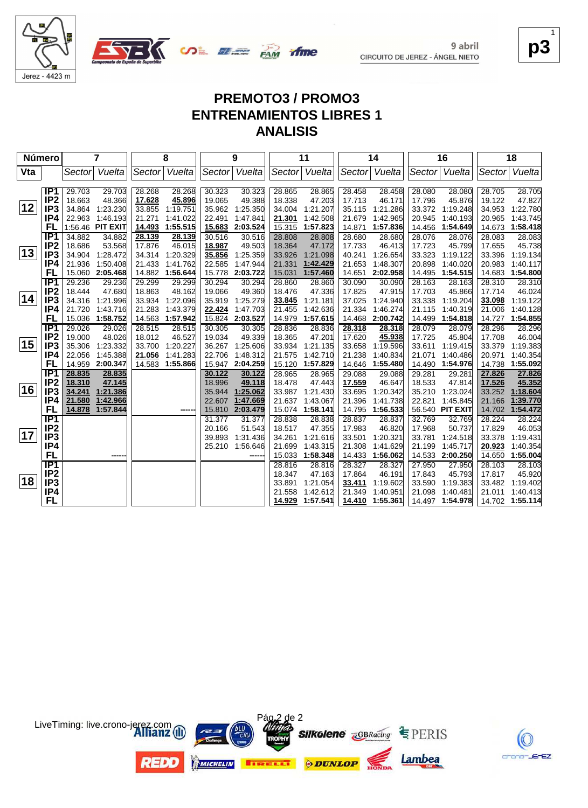



**p3** 1

K

crono-JErEZ

## **PREMOTO3 / PROMO3 ENTRENAMIENTOS LIBRES 1 ANALISIS**

ifme

| <b>Número</b> |                                    |                  | 7                    |        | 8                    |                  | 9                    |                  | 11                   |                  | 14                   |                  | 16                   |                  | 18                   |
|---------------|------------------------------------|------------------|----------------------|--------|----------------------|------------------|----------------------|------------------|----------------------|------------------|----------------------|------------------|----------------------|------------------|----------------------|
| Vta           |                                    | Sector           | Vuelta               | Sector | Vuelta               | Sector           | Vuelta               | Sector           | Vuelta               | Sector           | Vuelta               | Sector           | Vuelta               | Sector           | Vuelta               |
|               |                                    |                  |                      |        |                      |                  |                      |                  |                      |                  |                      |                  |                      |                  |                      |
|               | IP <sub>1</sub>                    | 29.703           | 29.703               | 28.268 | 28.268               | 30.323           | 30.323               | 28.865           | 28.865               | 28.458           | 28.458               | 28.080           | 28.080               | 28.705           | 28.705               |
| 12            | IP <sub>2</sub>                    | 18.663           | 48.366               | 17.628 | 45.896               | 19.065           | 49.388               | 18.338           | 47.203               | 17.713           | 46.171               | 17.796           | 45.876               | 19.122           | 47.827               |
|               | IP <sub>3</sub>                    | 34.864           | 1:23.230             | 33.855 | 1:19.751             | 35.962           | 1:25.350             | 34.004           | 1:21.207             | 35.115           | 1:21.286             | 33.372           | 1:19.248             | 34.953           | 1:22.780             |
|               | IP4                                | 22.963           | 1:46.193             | 21.271 | 1:41.022             | 22.491           | 1:47.841             | 21.301           | 1:42.508             | 21.679           | 1:42.965             | 20.945           | 1:40.193             | 20.965           | 1:43.745             |
|               | FL                                 |                  | 1:56.46 PIT EXIT     | 14.493 | 1:55.515             | 15.683           | 2:03.524             | 15.315           | 1:57.823             | 14.871           | 1:57.836             | 14.456           | 1:54.649             | 14.673           | 1:58.418             |
|               | IP <sub>1</sub>                    | 34.882           | 34.882               | 28.139 | 28.139               | 30.516           | 30.516               | 28.808           | 28.808               | 28.680           | 28.680               | 28.076           | 28.076               | 28.083           | 28.083               |
| $ 13\rangle$  | IP <sub>2</sub><br>IP <sub>3</sub> | 18.686           | 53.568               | 17.876 | 46.015               | 18.987           | 49.503               | 18.364           | 47.172               | 17.733           | 46.413               | 17.723           | 45.799               | 17.655           | 45.738               |
|               |                                    | 34.904           | 1:28.472<br>1:50.408 | 34.314 | 1:20.329<br>1:41.762 | 35.856<br>22.585 | 1:25.359<br>1:47.944 | 33.926           | 1:21.098             | 40.241<br>21.653 | 1:26.654<br>1:48.307 | 33.323<br>20.898 | 1:19.122<br>1:40.020 | 33.396<br>20.983 | 1:19.134<br>1:40.117 |
|               | IP4<br>FL                          | 21.936<br>15.060 | 2:05.468             | 21.433 | 14.882 1:56.644      | 15.778           | 2:03.722             | 21.331<br>15.031 | 1:42.429<br>1:57.460 | 14.651           | 2:02.958             | 14.495           | 1:54.515             | 14.683           | 1:54.800             |
|               | IP <sub>1</sub>                    | 29.236           | 29.236               | 29.299 | 29.299               | 30.294           | 30.294               | 28.860           | 28.860               | 30.090           | 30.090               | 28.163           | 28.163               | 28.310           | 28.310               |
|               | IP <sub>2</sub>                    | 18.444           | 47.680               | 18.863 | 48.162               | 19.066           | 49.360               | 18.476           | 47.336               | 17.825           | 47.915               | 17.703           | 45.866               | 17.714           | 46.024               |
| 14            | IP <sub>3</sub>                    | 34.316           | 1:21.996             | 33.934 | 1:22.096             | 35.919           | 1:25.279             | 33.845           | 1:21.181             | 37.025           | 1:24.940             | 33.338           | 1:19.204             | 33.098           | 1:19.122             |
|               | IP4                                | 21.720           | 1:43.716             | 21.283 | 1:43.379             | 22.424           | 1:47.703             | 21.455           | 1:42.636             | 21.334           | 1:46.274             | 21.115           | 1:40.319             | 21.006           | 1:40.128             |
|               | FL                                 | 15.036           | 1:58.752             | 14.563 | 1:57.942             | 15.824           | 2:03.527             | 14.979           | 1:57.615             | 14.468           | 2:00.742             | 14.499           | 1:54.818             | 14.727           | 1:54.855             |
|               | IP <sub>1</sub>                    | 29.026           | 29.026               | 28.515 | 28.515               | 30.305           | 30.305               | 28.836           | 28.836               | 28.318           | 28.318               | 28.079           | 28.079               | 28.296           | 28.296               |
|               | IP <sub>2</sub>                    | 19.000           | 48.026               | 18.012 | 46.527               | 19.034           | 49.339               | 18.365           | 47.201               | 17.620           | 45.938               | 17.725           | 45.804               | 17.708           | 46.004               |
| 15            | IP <sub>3</sub>                    | 35.306           | 1:23.332             | 33.700 | 1:20.227             | 36.267           | 1:25.606             | 33.934           | 1:21.135             | 33.658           | 1:19.596             | 33.611           | 1:19.415             | 33.379           | 1:19.383             |
|               | IP4                                | 22.056           | 1:45.388             | 21.056 | 1:41.283             | 22.706           | 1:48.312             | 21.575           | 1:42.710             | 21.238           | 1:40.834             | 21.071           | 1:40.486             | 20.971           | 1:40.354             |
|               | FL                                 | 14.959           | 2:00.347             | 14.583 | 1:55.866             | 15.947           | 2:04.259             | 15.120           | 1:57.829             | 14.646           | 1:55.480             | 14.490           | 1:54.976             | 14.738           | 1:55.092             |
|               | IP <sub>1</sub>                    | 28.835           | 28.835               |        |                      | 30.122           | 30.122               | 28.965           | 28.965               | 29.088           | 29.088               | 29.281           | 29.281               | 27.826           | 27.826               |
|               | IP <sub>2</sub>                    | 18.310           | 47.145               |        |                      | 18.996           | 49.118               | 18.478           | 47.443               | 17.559           | 46.647               | 18.533           | 47.814               | 17.526           | 45.352               |
| 16            | IP <sub>3</sub>                    | 34.241           | 1:21.386             |        |                      | 35.944           | 1:25.062             | 33.987           | 1:21.430             | 33.695           | 1:20.342             | 35.210           | 1:23.024             | 33.252           | 1:18.604             |
|               | IP4                                | 21.580           | 1:42.966             |        |                      | 22.607           | 1:47.669             | 21.637           | 1:43.067             | 21.396           | 1:41.738             | 22.821           | 1:45.845             | 21.166           | 1:39.770             |
|               | FL                                 | 14.878           | 1:57.844             |        |                      | 15.810           | 2:03.479             | 15.074           | 1:58.141             | 14.795           | 1:56.533             |                  | 56.540 PIT EXIT      | 14.702           | 1:54.472             |
|               | IP <sub>1</sub>                    |                  |                      |        |                      | 31.377           | 31.377               | 28.838           | 28.838               | 28.837           | 28.837               | 32.769           | 32.769               | 28.224           | 28.224               |
|               | IP <sub>2</sub>                    |                  |                      |        |                      | 20.166           | 51.543               | 18.517           | 47.355               | 17.983           | 46.820               | 17.968           | 50.737               | 17.829           | 46.053               |
| 17            | IP <sub>3</sub>                    |                  |                      |        |                      | 39.893           | 1:31.436             | 34.261           | 1:21.616             | 33.501           | 1:20.321             | 33.781           | 1:24.518             | 33.378           | 1:19.431             |
|               | IP4                                |                  |                      |        |                      | 25.210           | 1:56.646             | 21.699           | 1:43.315             | 21.308           | 1:41.629             | 21.199           | 1:45.717             | 20.923           | 1:40.354             |
|               | FL                                 |                  | ----                 |        |                      |                  | -----                | 15.033           | 1:58.348             | 14.433           | 1:56.062             | 14.533           | 2:00.250             | 14.650           | 1:55.004             |
|               | IP <sub>1</sub>                    |                  |                      |        |                      |                  |                      | 28.816           | 28.816               | 28.327           | 28.327               | 27.950           | 27.950               | 28.103           | 28.103               |
|               | IP <sub>2</sub>                    |                  |                      |        |                      |                  |                      | 18.347           | 47.163               | 17.864           | 46.191               | 17.843           | 45.793               | 17.817           | 45.920               |
| 18            | IP <sub>3</sub>                    |                  |                      |        |                      |                  |                      | 33.891           | 1:21.054             | 33.411           | 1:19.602             | 33.590           | 1:19.383             | 33.482           | 1:19.402             |
|               | IP4                                |                  |                      |        |                      |                  |                      | 21.558           | 1:42.612             | 21.349           | 1:40.951             | 21.098           | 1:40.481             | 21.011           | 1:40.413             |
|               | FL                                 |                  |                      |        |                      |                  |                      | 14.929           | 1:57.541             | 14.410           | 1:55.361             | 14.497           | 1:54.978             |                  | 14.702 1:55.114      |

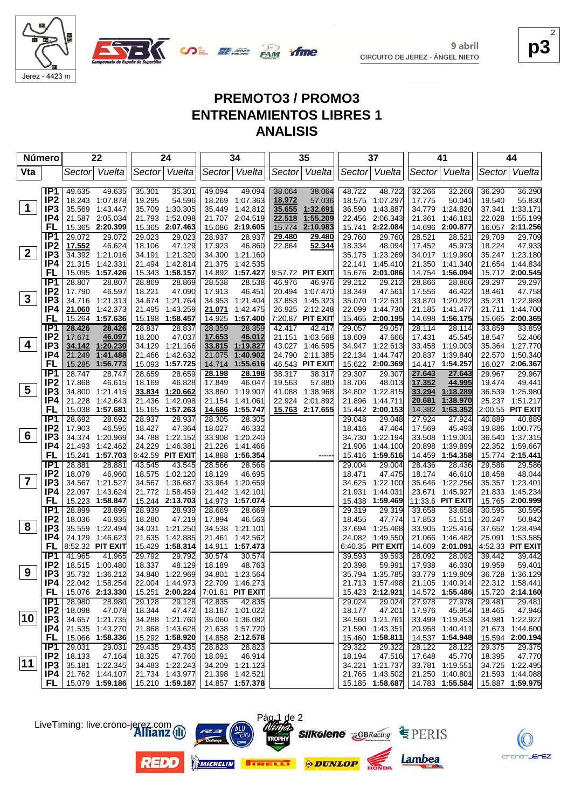



**p3** 2

EZ.

# **PREMOTO3 / PROMO3 ENTRENAMIENTOS LIBRES 1 ANALISIS**

**SALE AND TIME** 

| Número          |                                    | 22                                     | 24                                     | 34                                       | 35                                 | 37                                    | 41                                     | 44                                  |
|-----------------|------------------------------------|----------------------------------------|----------------------------------------|------------------------------------------|------------------------------------|---------------------------------------|----------------------------------------|-------------------------------------|
| Vta             |                                    | Vuelta<br>Sector                       | Sector Vuelta                          | Sector Vuelta                            | Vuelta<br>Sector                   | Sector Vuelta                         | Sector Vuelta                          | Vuelta<br> Sector                   |
|                 | IP1                                | 49.635<br>49.635                       | 35.301<br>35.301                       | 49.094<br>49.094                         | 38.064<br>38.064                   | 48.722<br>48.722                      | 32.266<br>32.266                       | 36.290<br>36.290                    |
|                 | IP <sub>2</sub>                    | 18.243 1:07.878                        | 54.596<br>19.295                       | 18.269 1:07.363                          | 18.972<br>57.036                   | 18.575<br>1:07.297                    | 17.775<br>50.041                       | 19.540<br>55.830                    |
| $\mathbf 1$     | IP3                                | 35.569<br>1:43.447                     | 1:30.305<br>35.709                     | 35.449<br>1:42.812                       | 35.655<br>1:32.691                 | 36.590<br>1:43.887                    | 34.779<br>1:24.820                     | 37.341<br>1:33.171                  |
|                 | IP4                                | 21.587 2:05.034                        | 21.793 1:52.098                        | 21.707 2:04.519                          | 1:55.209<br>22.518                 | 22.456 2:06.343                       | 1:46.181<br>21.361                     | 1:55.199<br>22.028                  |
|                 | FL                                 | 15.365 2:20.399                        | 15.365 2:07.463                        | 15.086 2:19.605                          | 2:10.983<br>15.774                 | 15.741<br>2:22.084                    | 14.696<br>2:00.877                     | 16.057 2:11.256                     |
|                 | IP <sub>1</sub>                    | 29.072<br>29.072                       | 29.023<br>29.023                       | 28.937<br>28.937                         | 29.480<br>29.480                   | 29.760<br>29.760                      | 28.521<br>28.521                       | 29.709<br>29.709                    |
|                 | IP <sub>2</sub>                    | 17.552<br>46.624                       | 47.129<br>18.106                       | 46.860<br>17.923                         | 22.864<br>52.344                   | 18.334<br>48.094                      | 17.452<br>45.973                       | 18.224<br>47.933                    |
| $\mathbf{2}$    | IP3                                | 34.392 1:21.016                        | 34.191 1:21.320                        | 34.300 1:21.160                          |                                    | 35.175 1:23.269                       | 34.017 1:19.990                        | 35.247 1:23.180                     |
|                 | IP4                                | 21.315 1:42.331                        | 21.494<br>1:42.814                     | 21.375<br>1:42.535                       |                                    | 22.141<br>1:45.410                    | 21.350<br>1:41.340                     | 21.654 1:44.834                     |
|                 | FL                                 | 15.095 1:57.426                        | 15.343 1:58.157                        | 14.892 1:57.427                          | $ 9:57.72$ PIT EXIT                | 15.676 2:01.086                       | 14.754<br>1:56.094                     | 15.712 2:00.545                     |
|                 | IP <sub>1</sub>                    | 28.807<br>28.807                       | 28.869<br>28.869                       | 28.538<br>28.538                         | 46.976<br>46.976                   | 29.212<br>29.212                      | 28.866<br>28.866                       | 29.297<br>29.297                    |
|                 | IP <sub>2</sub>                    | 17.790<br>46.597                       | 18.221<br>47.090                       | 17.913<br>46.451                         | 20.494<br>1:07.470                 | 18.349<br>47.561                      | 17.556<br>46.422                       | 18.461<br>47.758                    |
| $\mathbf{3}$    | IP <sub>3</sub>                    | 34.716 1:21.313                        | 34.674 1:21.764                        | 1:21.404<br>34.953                       | 37.853<br>1:45.323                 | 35.070 1:22.631                       | 33.870 1:20.292                        | 35.231 1:22.989                     |
|                 | IP4                                | 21.060 1:42.373                        | 21.495<br>1:43.259                     | 21.071<br>1:42.475                       | 26.925 2:12.248                    | 22.099<br>1:44.730                    | 21.185<br>1:41.477                     | 1:44.700<br>21.711                  |
|                 | FL                                 | 15.264<br>1:57.636                     | 15.198 1:58.457                        | 14.925<br>1:57.400                       | 7:20.87 PIT EXIT                   | 15.465<br>2:00.195                    | 14.698 1:56.175                        | 15.665 2:00.365                     |
|                 | IP1                                | 28.426<br>28.426                       | 28.837<br>28.837                       | 28.359<br>28.359                         | 42.417<br>42.417                   | 29.057<br>29.057                      | 28.114<br>28.114                       | 33.859<br>33.859                    |
| 4               | IP <sub>2</sub>                    | 46.097<br>17.671                       | 18.200<br>47.037                       | 17.653<br>46.012                         | 21.151<br>1:03.568                 | 18.609<br>47.666                      | 17.431<br>45.545                       | 52.406<br>18.547                    |
|                 | IP3<br>IP4                         | 34.142 1:20.239<br>1:41.488            | 34.129<br>1:21.166                     | 33.815<br>1:19.827                       | 43.027<br>1:46.595                 | 34.947 1:22.613                       | 33.458 1:19.003                        | 35.364 1:27.770                     |
|                 | FL                                 | 21.249<br>1:56.773<br>15.285           | 21.466<br>1:42.632<br>15.093 1:57.725  | 21.075<br>1:40.902<br>1:55.616<br>14.714 | 24.790 2:11.385<br>46.543 PIT EXIT | 22.134<br>1.44.747<br>15.622 2:00.369 | 20.837 1:39.840<br>14.417 1:54.257     | 22.570 1:50.340<br>16.027 2:06.367  |
|                 | IP <sub>1</sub>                    | 28.747<br>28.747                       | 28.659<br>28.659                       | 28.198<br>28.198                         | 38.317<br>38.317                   | 29.307<br>29.307                      | 27.643<br>27.643                       | 29.967<br>29.967                    |
|                 | IP <sub>2</sub>                    | 17.868<br>46.615                       | 18.169<br>46.828                       | 17.849<br>46.047                         | 19.563<br>57.880                   | 18.706<br>48.013                      | 17.352<br>44.995                       | 19.474<br>49.441                    |
| $5\overline{)}$ | IP <sub>3</sub>                    | 34.800<br>1:21.415                     | 33.834 1:20.662                        | 33.860<br>1:19.907                       | 41.088<br>1:38.968                 | 34.802 1:22.815                       | 33.294<br>1:18.289                     | 36.539 1:25.980                     |
|                 | IP4                                | 21.228<br>1:42.643                     | 1:42.098<br>21.436                     | 21.154<br>1:41.061                       | 22.924<br>2:01.892                 | 21.896<br>1:44.711                    | 20.681<br>1:38.970                     | 25.237 1:51.217                     |
|                 | FL                                 | 15.038 1:57.681                        | 15.165 1:57.263                        | 14.686 1:55.747                          | 15.763 2:17.655                    | 15.442 2:00.153                       | 14.382<br>1:53.352                     | 2:00.55 PIT EXIT                    |
|                 | IP1                                | 28.692<br>28.692                       | 28.937<br>28.937                       | 28.305<br>28.305                         |                                    | 29.048<br>29.048                      | 27.924<br>27.924                       | 40.889<br>40.889                    |
|                 | IP <sub>2</sub>                    | 17.903<br>46.595                       | 47.364<br>18.427                       | 18.027<br>46.332                         |                                    | 18.416<br>47.464                      | 17.569<br>45.493                       | 19.886<br>1:00.775                  |
| 6               | IP <sub>3</sub>                    | 34.374 1:20.969                        | 34.788<br>1:22.152                     | 33.908<br>1:20.240                       |                                    | 34.730<br>1:22.194                    | 33.508<br>1:19.001                     | 36.540<br>1:37.315                  |
|                 | IP4                                | 21.493<br>1:42.462                     | 24.229<br>1:46.381                     | 21.226<br>1:41.466                       |                                    | 21.906<br>1:44.100                    | 20.898<br>1:39.899                     | 22.352 1:59.667                     |
|                 | FL                                 | 15.241 1:57.703                        | 6:42.59 PIT EXIT                       | 14.888<br>1:56.354                       |                                    | 15.416 1:59.516                       | 1:54.358<br>14.459                     | 15.774 2:15.441                     |
|                 | IP1                                | 28.881<br>28.881                       | 43.545<br>43.545                       | 28.566<br>28.566                         |                                    | 29.004<br>29.004                      | 28.436<br>28.436                       | 29.586<br>29.586                    |
|                 | IP <sub>2</sub>                    | 18.079<br>46.960                       | 18.575<br>1:02.120                     | 46.695<br>18.129                         |                                    | 18.471<br>47.475                      | 18.174<br>46.610                       | 18.458<br>48.044                    |
| $\overline{7}$  | IP <sub>3</sub>                    | 34.567 1:21.527                        | 34.567 1:36.687                        | 33.964<br>1:20.659                       |                                    | 34.625<br>1:22.100                    | 1:22.256<br>35.646                     | 35.357 1:23.401                     |
|                 | IP4                                | 22.097 1:43.624                        | 21.772 1:58.459                        | 1:42.101<br>21.442                       |                                    | 21.931<br>1:44.031                    | 23.671<br>1:45.927                     | 21.833<br>1:45.234                  |
|                 | FL                                 | 15.223 1:58.847                        | 15.244 2:13.703                        | 14.973<br>1:57.074                       |                                    | 15.438 1:59.469                       | 11:33.6 PIT EXIT                       | 15.765 2:00.999                     |
|                 | IP1                                | 28.899<br>28.899                       | 28.939<br>28.939                       | 28.669<br>28.669                         |                                    | 29.319<br>29.319                      | 33.658<br>33.658                       | 30.595<br>30.595                    |
| 8               | IP <sub>2</sub><br>IP <sub>3</sub> | 46.935<br>18.036<br>35.559<br>1:22.494 | 18.280<br>47.219<br>34.031<br>1:21.250 | 17.894<br>46.563<br>34.538<br>1:21.101   |                                    | 18.455<br>47.774<br>37.694 1:25.468   | 17.853<br>51.511<br>33.905<br>1:25.416 | 20.247<br>50.842<br>37.652 1:28.494 |
|                 | IP4                                | 24.129<br>1:46.623                     | 21.635<br>1:42.885                     | 21.461<br>1:42.562                       |                                    | 24.082<br>1:49.550                    | 21.066<br>1:46.482                     | 25.091<br>1:53.585                  |
|                 | FL                                 | 8:52.32 PIT EXIT                       | 15.429 1:58.314                        | 14.911<br>1:57.473                       |                                    | 6:40.35 PIT EXIT                      | 14.609 2:01.091                        | 4:52.33 PIT EXIT                    |
|                 | IP1                                | 41.965<br>41.965                       | 29.792<br>29.792                       | 30.574<br>30.574                         |                                    | 39.593<br>39.593                      | 28.092<br>28.092                       | 39.442<br>39.442                    |
|                 | IP <sub>2</sub>                    | 18.515 1:00.480                        | 18.337<br>48.129                       | 18.189<br>48.763                         |                                    | 20.398<br>59.991                      | 17.938<br>46.030                       | 19.959<br>59.401                    |
| 9               | IP3                                | 35.732 1:36.212                        | 34.840 1:22.969                        | 34.801 1:23.564                          |                                    | 35.794 1:35.785                       | 33.779 1:19.809                        | 36.728 1:36.129                     |
|                 | P4                                 | 22.042 1:58.254                        | 22.004 1:44.973                        | 22.709 1:46.273                          |                                    | 21.713 1:57.498                       | 21.105 1:40.914                        | 22.312 1:58.441                     |
|                 | FL.                                | 15.076 2:13.330                        | 15.251 2:00.224                        | 7:01.81 PIT EXIT                         |                                    | 15.423 2:12.921                       | 14.572 1:55.486                        | 15.720 2:14.160                     |
|                 | IP1                                | 28.980<br>28.980                       | 29.128<br>29.128                       | 42.835<br>42.835                         |                                    | 29.024<br>29.024                      | 27.978<br>27.978                       | 29.481<br>29.481                    |
|                 | IP <sub>2</sub>                    | 18.098<br>47.078                       | 18.344<br>47.472                       | 18.187 1:01.022                          |                                    | 18.177<br>47.201                      | 17.976<br>45.954                       | 18.465<br>47.946                    |
| 10              | IP3                                | 34.657 1:21.735                        | 34.288 1:21.760                        | 35.060 1:36.082                          |                                    | 34.560 1:21.761                       | 33.499 1:19.453                        | 34.981 1:22.927                     |
|                 | P4                                 | 21.535 1:43.270                        | 21.868 1:43.628                        | 21.638 1:57.720                          |                                    | 21.590 1:43.351                       | 20.958 1:40.411                        | 21.673 1:44.600                     |
|                 | FL.                                | 15.066 1:58.336                        | 15.292 1:58.920                        | 14.858 2:12.578                          |                                    | 15.460 1:58.811                       | 14.537 1:54.948                        | 15.594 2:00.194                     |
|                 | IP1                                | 29.031<br>29.031                       | 29.435<br>29.435                       | 28.823<br>28.823                         |                                    | 29.322<br>29.322                      | 28.122<br>28.122                       | 29.375<br>29.375                    |
|                 | IP <sub>2</sub>                    | 18.133<br>47.164                       | 18.325<br>47.760                       | 46.914<br>18.091                         |                                    | 18.194<br>47.516                      | 17.648<br>45.770                       | 18.395<br>47.770                    |
| $ 11\rangle$    | IP3                                | 35.181 1:22.345                        | 34.483 1:22.243                        | 34.209 1:21.123                          |                                    | 34.221 1:21.737                       | 33.781 1:19.551                        | 34.725 1:22.495                     |
|                 | IP4.                               | 21.762 1:44.107                        | 21.734 1:43.977                        | 21.398 1:42.521                          |                                    | 21.765 1:43.502                       | 21.250 1:40.801                        | 21.593 1:44.088                     |
|                 |                                    | FL 15.079 1:59.186                     | 15.210 1:59.187                        | 14.857 1:57.378                          |                                    | 15.185 1:58.687                       | 14.783 1:55.584                        | 15.887 1:59.975                     |

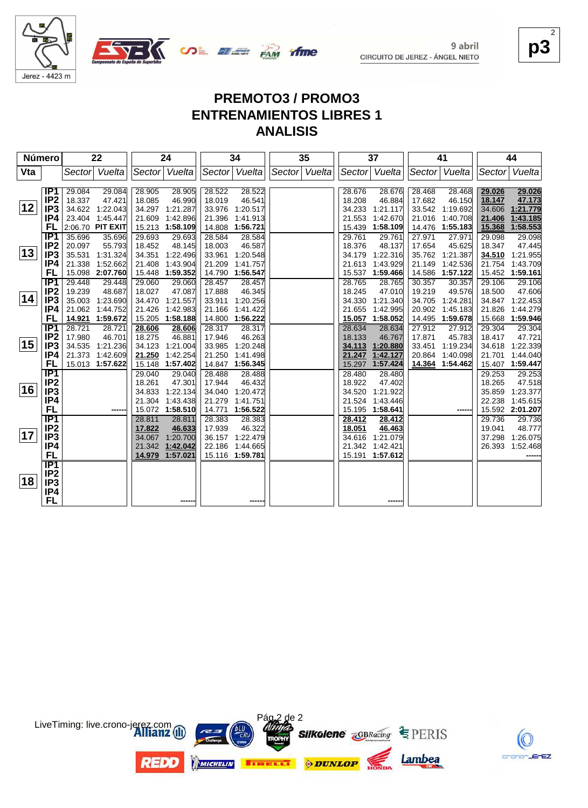

**OR BEER PAM** 

**p3** 2

# **PREMOTO3 / PROMO3 ENTRENAMIENTOS LIBRES 1 ANALISIS**

ifme

| Número |                  |        | 22               |        | 24              |        | 34              | 35            |        | 37              |        | 41              |        | 44              |
|--------|------------------|--------|------------------|--------|-----------------|--------|-----------------|---------------|--------|-----------------|--------|-----------------|--------|-----------------|
| Vta    |                  | Sector | Vuelta           |        | Sector Vuelta   |        | Sector Vuelta   | Sector Vuelta |        | Sector Vuelta   | Sector | Vuelta          | Sector | Vuelta          |
|        |                  |        |                  |        |                 |        |                 |               |        |                 |        |                 |        |                 |
|        | IP <sub>1</sub>  | 29.084 | 29.084           | 28.905 | 28.905          | 28.522 | 28.522          |               | 28.676 | 28.676          | 28.468 | 28.468          | 29.026 | 29.026          |
|        | IP <sub>2</sub>  | 18.337 | 47.421           | 18.085 | 46.990          | 18.019 | 46.541          |               | 18.208 | 46.884          | 17.682 | 46.150          | 18.147 | 47.173          |
| 12     | IP <sub>3</sub>  |        | 34.622 1:22.043  |        | 34.297 1:21.287 | 33.976 | 1:20.517        |               | 34.233 | 1:21.117        | 33.542 | 1:19.692        | 34.606 | 1:21.779        |
|        | IP4              |        | 23.404 1:45.447  | 21.609 | 1:42.896        | 21.396 | 1:41.913        |               | 21.553 | 1:42.670        | 21.016 | 1:40.708        | 21.406 | 1:43.185        |
|        | FL               |        | 2:06.70 PIT EXIT |        | 15.213 1:58.109 | 14.808 | 1:56.721        |               |        | 15.439 1:58.109 |        | 14.476 1:55.183 | 15.368 | 1:58.553        |
|        | IP <sub>1</sub>  | 35.696 | 35.696           | 29.693 | 29.693          | 28.584 | 28.584          |               | 29.761 | 29.761          | 27.971 | 27.971          | 29.098 | 29.098          |
|        | IP <sub>2</sub>  | 20.097 | 55.793           | 18.452 | 48.145          | 18.003 | 46.587          |               | 18.376 | 48.137          | 17.654 | 45.625          | 18.347 | 47.445          |
| 13     | IP <sub>3</sub>  | 35.531 | 1:31.324         | 34.351 | 1:22.496        | 33.961 | 1:20.548        |               | 34.179 | 1:22.316        | 35.762 | 1:21.387        | 34.510 | 1:21.955        |
|        | IP4              | 21.338 | 1:52.662         | 21.408 | 1:43.904        | 21.209 | 1:41.757        |               | 21.613 | 1:43.929        | 21.149 | 1:42.536        | 21.754 | 1:43.709        |
|        | FL               |        | 15.098 2:07.760  |        | 15.448 1:59.352 | 14.790 | 1:56.547        |               | 15.537 | 1:59.466        | 14.586 | 1:57.122        | 15.452 | 1:59.161        |
|        | IP1              | 29.448 | 29.448           | 29.060 | 29.060          | 28.457 | 28.457          |               | 28.765 | 28.765          | 30.357 | 30.357          | 29.106 | 29.106          |
|        | IP <sub>2</sub>  | 19.239 | 48.687           | 18.027 | 47.087          | 17.888 | 46.345          |               | 18.245 | 47.010          | 19.219 | 49.576          | 18.500 | 47.606          |
| 14     | IP <sub>3</sub>  | 35.003 | 1:23.690         | 34.470 | 1:21.557        | 33.911 | 1:20.256        |               | 34.330 | 1:21.340        | 34.705 | 1:24.281        | 34.847 | 1:22.453        |
|        | IP4              |        | 21.062 1:44.752  | 21.426 | 1:42.983        | 21.166 | 1:41.422        |               | 21.655 | 1:42.995        | 20.902 | 1:45.183        | 21.826 | 1:44.279        |
|        | FL               |        | 14.921 1:59.672  |        | 15.205 1:58.188 |        | 14.800 1:56.222 |               | 15.057 | 1:58.052        | 14.495 | 1:59.678        | 15.668 | 1:59.946        |
|        | IP1              | 28.721 | 28.721           | 28.606 | 28.606          | 28.317 | 28.317          |               | 28.634 | 28.634          | 27.912 | 27.912          | 29.304 | 29.304          |
|        | IP <sub>2</sub>  | 17.980 | 46.701           | 18.275 | 46.881          | 17.946 | 46.263          |               | 18.133 | 46.767          | 17.871 | 45.783          | 18.417 | 47.721          |
| 15     | IP <sub>3</sub>  |        | 34.535 1:21.236  | 34.123 | 1:21.004        | 33.985 | 1:20.248        |               |        | 34.113 1:20.880 | 33.451 | 1:19.234        | 34.618 | 1:22.339        |
|        | IP4              | 21.373 | 1:42.609         | 21.250 | 1:42.254        | 21.250 | 1:41.498        |               | 21.247 | 1:42.127        | 20.864 | 1:40.098        | 21.701 | 1:44.040        |
|        | FL               |        | 15.013 1:57.622  | 15.148 | 1:57.402        | 14.847 | 1:56.345        |               | 15.297 | 1:57.424        | 14.364 | 1:54.462        | 15.407 | 1:59.447        |
|        | $\overline{IP1}$ |        |                  | 29.040 | 29.040          | 28.488 | 28.488          |               | 28.480 | 28.480          |        |                 | 29.253 | 29.253          |
|        | IP <sub>2</sub>  |        |                  | 18.261 | 47.301          | 17.944 | 46.432          |               | 18.922 | 47.402          |        |                 | 18.265 | 47.518          |
| 16     | IP <sub>3</sub>  |        |                  | 34.833 | 1:22.134        | 34.040 | 1:20.472        |               | 34.520 | 1:21.922        |        |                 | 35.859 | 1:23.377        |
|        | IP4              |        |                  | 21.304 | 1:43.438        | 21.279 | 1:41.751        |               | 21.524 | 1:43.446        |        |                 | 22.238 | 1:45.615        |
|        | <b>FL</b>        |        |                  |        | 15.072 1:58.510 | 14.771 | 1:56.522        |               | 15.195 | 1:58.641        |        | ----            |        | 15.592 2:01.207 |
|        | $\overline{IP1}$ |        |                  | 28.811 | 28.811          | 28.383 | 28.383          |               | 28.412 | 28.412          |        |                 | 29.736 | 29.736          |
| 17     | IP <sub>2</sub>  |        |                  | 17.822 | 46.633          | 17.939 | 46.322          |               | 18.051 | 46.463          |        |                 | 19.041 | 48.777          |
|        | IP <sub>3</sub>  |        |                  | 34.067 | 1:20.700        | 36.157 | 1:22.479        |               | 34.616 | 1:21.079        |        |                 | 37.298 | 1:26.075        |
|        | IP4              |        |                  |        | 21.342 1:42.042 | 22.186 | 1:44.665        |               |        | 21.342 1:42.421 |        |                 | 26.393 | 1:52.468        |
|        | FL               |        |                  | 14.979 | 1:57.021        |        | 15.116 1:59.781 |               |        | 15.191 1:57.612 |        |                 |        |                 |
|        | IP <sub>1</sub>  |        |                  |        |                 |        |                 |               |        |                 |        |                 |        |                 |
| 18     | IP <sub>2</sub>  |        |                  |        |                 |        |                 |               |        |                 |        |                 |        |                 |
|        | IP <sub>3</sub>  |        |                  |        |                 |        |                 |               |        |                 |        |                 |        |                 |
|        | IP4              |        |                  |        |                 |        |                 |               |        |                 |        |                 |        |                 |
|        | FL               |        |                  |        |                 |        |                 |               |        |                 |        |                 |        |                 |



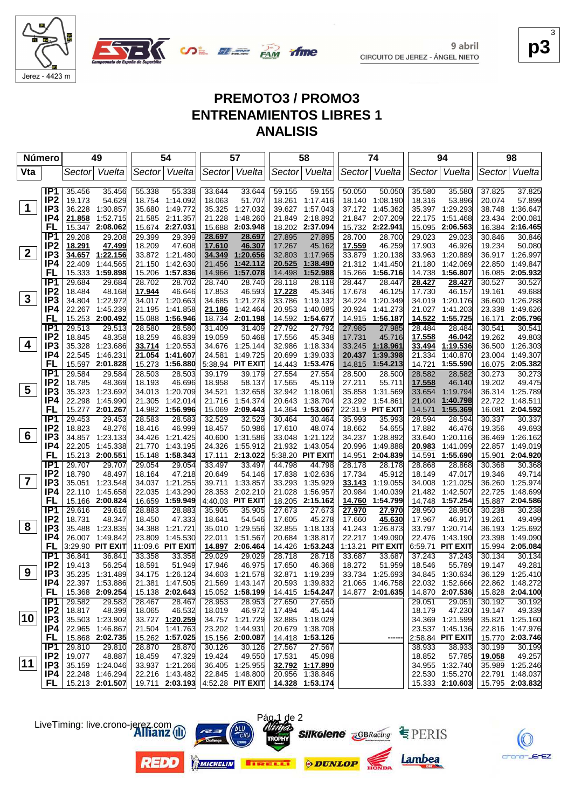



**p3** 3

 $EZ$ 

## **PREMOTO3 / PROMO3 ENTRENAMIENTOS LIBRES 1 ANALISIS**

**SALE AND YIME** 

|                | Número                             |                  | 49                   |                  | 54                   |                  | 57                                               |                  | 58                   |                  | 74                      |                  | 94                   |        | 98                          |
|----------------|------------------------------------|------------------|----------------------|------------------|----------------------|------------------|--------------------------------------------------|------------------|----------------------|------------------|-------------------------|------------------|----------------------|--------|-----------------------------|
| Vta            |                                    | Sector           | Vuelta               |                  | Sector Vuelta        |                  | Sector Vuelta                                    | Sector           | Vuelta               |                  | Sector Vuelta           | Sector           | Vuelta               | Sector | Vuelta                      |
|                | IP <sub>1</sub>                    | 35.456           | 35.456               | 55.338           | 55.338               | 33.644           | 33.644                                           | 59.155           | 59.155               | 50.050           | 50.050                  | 35.580           | 35.580               | 37.825 | 37.825                      |
|                | IP <sub>2</sub>                    | 19.173           | 54.629               | 18.754           | 1:14.092             | 18.063           | 51.707                                           | 18.261           | 1:17.416             | 18.140           | 1:08.190                | 18.316           | 53.896               | 20.074 | 57.899                      |
| $\mathbf 1$    | IP3                                | 36.228           | 1:30.857             | 35.680           | 1:49.772             | 35.325           | 1:27.032                                         | 39.627           | 1:57.043             | 37.172           | 1:45.362                | 35.397           | 1:29.293             | 38.748 | 1:36.647                    |
|                | IP4                                | 21.858           | 1:52.715             |                  | 21.585 2:11.357      | 21.228           | 1:48.260                                         | 21.849           | 2:18.892             |                  | 21.847 2:07.209         | 22.175           | 1:51.468             | 23.434 | 2:00.081                    |
|                | <b>FL</b>                          | 15.347           | 2:08.062             |                  | 15.674 2:27.031      | 15.688           | 2:03.948                                         | 18.202           | 2:37.094             | 15.732           | 2:22.941                | 15.095           | 2:06.563             |        | 16.384 2:16.465             |
|                | IP <sub>1</sub>                    | 29.208           | 29.208               | 29.399           | 29.399               | 28.697           | 28.697                                           | 27.895           | 27.895               | 28.700           | 28.700                  | 29.023           | 29.023               | 30.846 | 30.846                      |
|                | IP <sub>2</sub>                    | 18.291           | 47.499               | 18.209           | 47.608               | 17.610           | 46.307                                           | 17.267           | 45.162               | 17.559           | 46.259                  | 17.903           | 46.926               | 19.234 | 50.080                      |
| $\mathbf{2}$   | IP3                                | 34.657           | 1:22.156             |                  | 33.872 1:21.480      | 34.349           | 1:20.656                                         | 32.803           | 1:17.965             | 33.879           | 1:20.138                | 33.963           | 1:20.889             |        | 36.917 1:26.997             |
|                | IP4                                | 22.409           | 1:44.565             | 21.150           | 1:42.630             | 21.456           | 1:42.112                                         | 20.525           | 1:38.490             | 21.312           | 1:41.450                | 21.180           | 1:42.069             | 22.850 | 1:49.847                    |
|                | <b>FL</b>                          | 15.333           | 1:59.898             | 15.206           | 1:57.836             | 14.966           | 1:57.078                                         | 14.498           | 1:52.988             | 15.266           | 1:56.716                | 14.738           | 1:56.807             |        | 16.085 2:05.932             |
|                | IP1                                | 29.684           | 29.684               | 28.702           | 28.702               | 28.740           | 28.740                                           | 28.118           | 28.118               | 28.447           | 28.447                  | 28.427           | 28.427               | 30.527 | 30.527                      |
|                | IP <sub>2</sub>                    | 18.484           | 48.168               | 17.944           | 46.646               | 17.853           | 46.593                                           | 17.228           | 45.346               | 17.678           | 46.125                  | 17.730           | 46.157               | 19.161 | 49.688                      |
| $\mathbf{3}$   | IP3                                | 34.804           | 1:22.972             | 34.017           | 1.20.663             | 34.685           | 1:21.278                                         | 33.786           | 1:19.132             |                  | 34.224 1:20.349         | 34.019           | 1:20.176             |        | 36.600 1:26.288             |
|                | IP4                                | 22.267           | 1:45.239             | 21.195           | 1:41.858             | 21.186           | 1:42.464                                         | 20.953           | 1:40.085             | 20.924           | 1:41.273                | 21.027           | 1:41.203             | 23.338 | 1:49.626                    |
|                | FL                                 | 15.253           | 2:00.492             | 15.088           | 1:56.946             | 18.734           | 2:01.198                                         | 14.592           | 1:54.677             | 14.915           | 1:56.187                | 14.522           | 1:55.725             |        | 16.171 2:05.796             |
|                | IP <sub>1</sub>                    | 29.513           | 29.513               | 28.580           | 28.580               | 31.409           | 31.409                                           | 27.792           | 27.792               | 27.985           | 27.985                  | 28.484           | 28.484               | 30.541 | 30.541                      |
| 4              | IP <sub>2</sub>                    | 18.845           | 48.358               | 18.259           | 46.839               | 19.059           | 50.468                                           | 17.556           | 45.348               | 17.731           | 45.716                  | 17.558           | 46.042               | 19.262 | 49.803                      |
|                | IP3<br>IP4                         | 35.328           | 1:23.686<br>1:46.231 | 33.714           | 1:20.553             | 34.676<br>24.581 | 1:25.144<br>1:49.725                             | 32.986           | 1:18.334             | 33.245           | 1:18.961                | 33.494<br>21.334 | 1:19.536             | 23.004 | 36.500 1:26.303<br>1:49.307 |
|                | FL                                 | 22.545           | 15.597 2:01.828      | 21.054<br>15.273 | 1:41.607<br>1:56.880 |                  | 5:38.94 PIT EXIT                                 | 20.699<br>14.443 | 1:39.033<br>1:53.476 | 20.437<br>14.815 | 1:39.398<br>1:54.213    | 14.721           | 1:40.870<br>1:55.590 |        | 16.075 2:05.382             |
|                | IP <sub>1</sub>                    | 29.584           | 29.584               | 28.503           | 28.503               | 39.179           | 39.179                                           | 27.554           | 27.554               | 28.500           |                         | 28.582           | 28.582               | 30.273 | 30.273                      |
|                | IP <sub>2</sub>                    | 18.785           | 48.369               | 18.193           | 46.696               | 18.958           | 58.137                                           | 17.565           | 45.119               | 27.211           | 28.500<br>55.711        | 17.558           | 46.140               | 19.202 | 49.475                      |
| 5              | IP <sub>3</sub>                    | 35.323           | 1:23.692             |                  | 34.013 1:20.709      | 34.521           | 1:32.658                                         | 32.942           | 1:18.061             | 35.858           | 1:31.569                | 33.654           | 1:19.794             |        | 36.314 1:25.789             |
|                | IP4                                | 22.298           | 1:45.990             | 21.305           | 1:42.014             | 21.716           | 1:54.374                                         | 20.643           | 1:38.704             |                  | 23.292 1:54.861         | 21.004           | 1:40.798             | 22.722 | 1:48.511                    |
|                | FL                                 |                  | 15.277 2:01.267      |                  | 14.982 1:56.996      |                  | 15.069 2:09.443                                  | 14.364           | 1:53.067             |                  | 22:31.9 PIT EXIT        | 14.571           | 1:55.369             | 16.081 | 2:04.592                    |
|                | IP <sub>1</sub>                    | 29.453           | 29.453               | 28.583           | 28.583               | 32.529           | 32.529                                           | 30.464           | 30.464               | 35.993           | 35.993                  | 28.594           | 28.594               | 30.337 | 30.337                      |
|                | IP <sub>2</sub>                    | 18.823           | 48.276               | 18.416           | 46.999               | 18.457           | 50.986                                           | 17.610           | 48.074               | 18.662           | 54.655                  | 17.882           | 46.476               | 19.356 | 49.693                      |
| 6              | IP <sub>3</sub>                    |                  | 34.857 1:23.133      | 34.426           | 1:21.425             | 40.600           | 1:31.586                                         | 33.048           | 1:21.122             | 34.237           | 1:28.892                | 33.640           | 1:20.116             |        | 36.469 1:26.162             |
|                | IP4                                | 22.205           | 1:45.338             | 21.770           | 1:43.195             | 24.326           | 1:55.912                                         | 21.932           | 1:43.054             | 20.996           | 1:49.888                | 20.983           | 1:41.099             |        | 22.857 1:49.019             |
|                | FL                                 |                  | 15.213 2:00.551      |                  | 15.148 1:58.343      | 17.111           | 2:13.022                                         |                  | 5:38.20 PIT EXIT     | 14.951           | 2:04.839                | 14.591           | 1:55.690             |        | 15.901 2:04.920             |
|                | IP1                                | 29.707           | 29.707               | 29.054           | 29.054               | 33.497           | 33.497                                           | 44.798           | 44.798               | 28.178           | 28.178                  | 28.868           | 28.868               | 30.368 | 30.368                      |
|                | IP <sub>2</sub>                    | 18.790           | 48.497               | 18.164           | 47.218               | 20.649           | 54.146                                           | 17.838           | 1:02.636             | 17.734           | 45.912                  | 18.149           | 47.017               | 19.346 | 49.714                      |
| $\overline{7}$ | IP <sub>3</sub>                    |                  | 35.051 1:23.548      |                  | 34.037 1:21.255      | 39.711           | 1:33.857                                         | 33.293           | 1:35.929             | 33.143           | 1:19.055                | 34.008           | 1:21.025             | 36.260 | 1:25.974                    |
|                | IP4                                | 22.110           | 1:45.658             | 22.035           | 1:43.290             | 28.353           | 2:02.210                                         | 21.028           | 1:56.957             | 20.984           | 1:40.039                | 21.482           | 1:42.507             | 22.725 | 1:48.699                    |
|                | FL                                 |                  | 15.166 2:00.824      |                  | 16.659 1:59.949      |                  | 4:40.03 PIT EXIT                                 |                  | 18.205 2:15.162      | 14.760           | 1:54.799                |                  | 14.748 1:57.254      |        | 15.887 2:04.586             |
|                | IP1                                | 29.616           | 29.616               | 28.883           | 28.883               | 35.905           | 35.905                                           | 27.673           | 27.673               | 27.970           | 27.970                  | 28.950           | 28.950               | 30.238 | 30.238                      |
| 8              | IP <sub>2</sub><br>IP <sub>3</sub> | 18.731<br>35.488 | 48.347<br>1:23.835   | 18.450<br>34.388 | 47.333<br>1:21.721   | 18.641<br>35.010 | 54.546<br>1:29.556                               | 17.605<br>32.855 | 45.278<br>1:18.133   | 17.660<br>41.243 | 45.630<br>1:26.873      | 17.967<br>33.797 | 46.917<br>1:20.714   | 19.261 | 49.499<br>36.193 1:25.692   |
|                | IP4                                |                  | 26.007 1:49.842      | 23.809           | 1:45.530             | 22.011           | 1:51.567                                         | 20.684           | 1:38.817             | 22.217           | 1:49.090                | 22.476           | 1:43.190             | 23.398 | 1:49.090                    |
|                | FL                                 |                  | 3:29.90 PIT EXIT     |                  | 11:09.6 PIT EXIT     |                  | 14.897 2:06.464                                  | 14.426           | 1:53.243             |                  | 1:13.21 <b>PIT EXIT</b> |                  | 6:59.71 PIT EXIT     |        | 15.994 2:05.084             |
|                | IP1                                | 36.841           | 36.841               | 33.358           | 33.358               | 29.029           | 29.029                                           | 28.718           | 28.718               | 33.687           | 33.687                  | 37.243           | 37.243               | 30.134 | 30.134                      |
|                | IP <sub>2</sub>                    | 19.413           | 56.254               | 18.591           | 51.949               | 17.946           | 46.975                                           | 17.650           | 46.368               | 18.272           | 51.959                  | 18.546           | 55.789               | 19.147 | 49.281                      |
| 9              | IP <sub>3</sub>                    |                  | 35.235 1:31.489      |                  | 34.175 1:26.124      |                  | 34.603 1:21.578                                  | 32.871           | 1:19.239             |                  | 33.734 1:25.693         |                  | 34.845 1:30.634      |        | 36.129 1:25.410             |
|                | IP4                                |                  | 22.397 1:53.886      |                  | 21.381 1:47.505      |                  | 21.569 1:43.147                                  |                  | 20.593 1:39.832      |                  | 21.065 1:46.758         |                  | 22.032 1:52.666      |        | 22.862 1:48.272             |
|                | FL.                                |                  | 15.368 2:09.254      |                  | 15.138 2:02.643      |                  | 15.052 1:58.199                                  |                  | $14.415$ 1:54.247    |                  | 14.877 2:01.635         |                  | 14.870 2:07.536      |        | 15.828 2:04.100             |
|                | IP1                                | 29.582           | 29.582               | 28.467           | 28.467               | 28.953           | 28.953                                           | 27.650           | 27.650               |                  |                         | 29.051           | 29.051               | 30.192 | 30.192                      |
|                | IP <sub>2</sub>                    | 18.817           | 48.399               | 18.065           | 46.532               | 18.019           | 46.972                                           | 17.494           | 45.144               |                  |                         | 18.179           | 47.230               | 19.147 | 49.339                      |
| 10             | IP <sub>3</sub>                    |                  | 35.503 1:23.902      |                  | 33.727 1:20.259      |                  | 34.757 1:21.729                                  |                  | 32.885 1:18.029      |                  |                         |                  | 34.369 1:21.599      |        | 35.821 1:25.160             |
|                | IP4                                |                  | 22.965 1:46.867      |                  | 21.504 1:41.763      |                  | 23.202 1:44.931                                  |                  | 20.679 1:38.708      |                  |                         |                  | 23.537 1:45.136      |        | 22.816 1:47.976             |
|                | <b>FL</b>                          |                  | 15.868 2:02.735      |                  | 15.262 1:57.025      |                  | 15.156 2:00.087                                  |                  | 14.418 1:53.126      |                  | ----                    |                  | 2:58.84 PIT EXIT     |        | 15.770 2:03.746             |
|                | IP1                                | 29.810           | 29.810               | 28.870           | 28.870               | 30.126           | 30.126                                           | 27.567           | 27.567               |                  |                         | 38.933           | 38.933               | 30.199 | 30.199                      |
|                | IP <sub>2</sub>                    | 19.077           | 48.887               | 18.459           | 47.329               | 19.424           | 49.550                                           | 17.531           | 45.098               |                  |                         | 18.852           | 57.785               | 19.058 | 49.257                      |
| $ 11\rangle$   | IP3                                |                  | 35.159 1:24.046      |                  | 33.937 1:21.266      |                  | 36.405 1:25.955                                  |                  | 32.792 1:17.890      |                  |                         |                  | 34.955 1:32.740      |        | 35.989 1:25.246             |
|                | IP4                                |                  | 22.248 1:46.294      |                  | 22.216 1:43.482      |                  | 22.845 1:48.800                                  |                  | 20.956 1:38.846      |                  |                         |                  | 22.530 1:55.270      |        | 22.791 1:48.037             |
|                |                                    |                  | FL 15.213 2:01.507   |                  |                      |                  | 19.711 2:03.193 4:52.28 PIT EXIT 14.328 1:53.174 |                  |                      |                  |                         |                  | 15.333 2:10.603      |        | 15.795 2:03.832             |





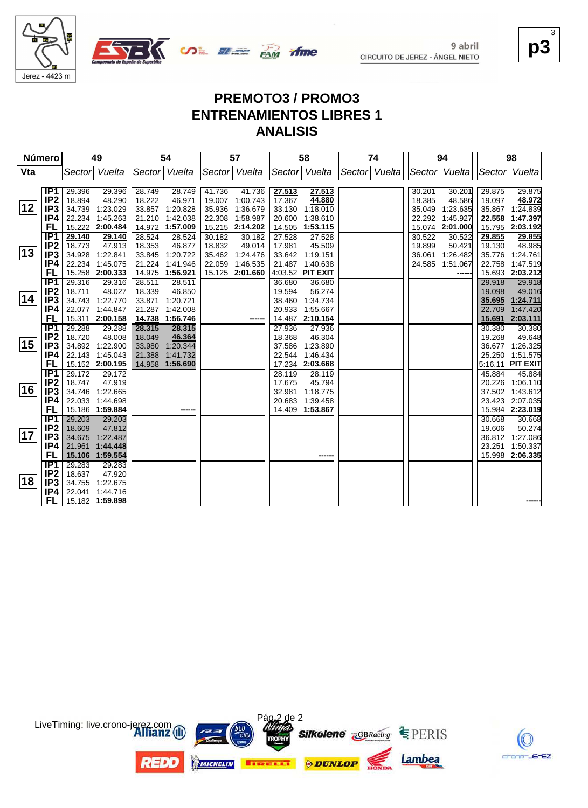



#### **p3** 3

### **PREMOTO3 / PROMO3 ENTRENAMIENTOS LIBRES 1 ANALISIS**

ifme

| Número |                         |                  | 49               |                  | 54               |        | 57              |        | 58               |               | 74 |        | 94              |                  | 98               |
|--------|-------------------------|------------------|------------------|------------------|------------------|--------|-----------------|--------|------------------|---------------|----|--------|-----------------|------------------|------------------|
| Vta    |                         | Sector           | Vuelta           |                  | Sector Vuelta    |        | Sector Vuelta   |        | Sector Vuelta    | Sector Vuelta |    | Sector | Vuelta          | Sector           | Vuelta           |
|        |                         |                  |                  |                  |                  |        |                 |        |                  |               |    |        |                 |                  |                  |
|        | IP1                     | 29.396           | 29.396           | 28.749           | 28.749           | 41.736 | 41.736          | 27.513 | 27.513           |               |    | 30.201 | 30.201          | 29.875           | 29.875           |
|        | IP <sub>2</sub>         | 18.894           | 48.290           | 18.222           | 46.971           | 19.007 | 1:00.743        | 17.367 | 44.880           |               |    | 18.385 | 48.586          | 19.097           | 48.972           |
| 12     | IP <sub>3</sub>         | 34.739           | 1:23.029         |                  | 33.857 1:20.828  | 35.936 | 1:36.679        | 33.130 | 1:18.010         |               |    | 35.049 | 1:23.635        | 35.867           | 1:24.839         |
|        | IP4                     |                  | 22.234 1:45.263  |                  | 21.210 1:42.038  | 22.308 | 1:58.987        | 20.600 | 1:38.610         |               |    | 22.292 | 1:45.927        | 22.558           | 1:47.397         |
|        | FL                      |                  | 15.222 2:00.484  |                  | 14.972 1:57.009  |        | 15.215 2:14.202 | 14.505 | 1:53.115         |               |    |        | 15.074 2:01.000 | 15.795           | 2:03.192         |
|        | IP <sub>1</sub>         | 29.140           | 29.140           | 28.524           | 28.524           | 30.182 | 30.182          | 27.528 | 27.528           |               |    | 30.522 | 30.522          | 29.855           | 29.855           |
| 13     | IP <sub>2</sub>         | 18.773           | 47.913           | 18.353           | 46.877           | 18.832 | 49.014          | 17.981 | 45.509           |               |    | 19.899 | 50.421          | 19.130           | 48.985           |
|        | IP <sub>3</sub>         | 34.928           | 1:22.841         | 33.845           | 1:20.722         |        | 35.462 1:24.476 | 33.642 | 1:19.151         |               |    | 36.061 | 1:26.482        | 35.776           | 1:24.761         |
|        | IP4                     | 22.234           | 1:45.075         | 21.224           | 1:41.946         | 22.059 | 1:46.535        | 21.487 | 1:40.638         |               |    | 24.585 | 1:51.067        | 22.758           | 1:47.519         |
|        | FL.<br>$\overline{IP1}$ |                  | 15.258 2:00.333  |                  | 14.975 1:56.921  |        | 15.125 2:01.660 | 36.680 | 4:03.52 PIT EXIT |               |    |        | ----            |                  | 15.693 2:03.212  |
|        | IP <sub>2</sub>         | 29.316<br>18.711 | 29.316<br>48.027 | 28.511<br>18.339 | 28.511<br>46.850 |        |                 | 19.594 | 36.680<br>56.274 |               |    |        |                 | 29.918<br>19.098 | 29.918<br>49.016 |
| 14     | IP <sub>3</sub>         | 34.743           | 1:22.770         | 33.871           | 1:20.721         |        |                 | 38.460 | 1:34.734         |               |    |        |                 | 35.695           | 1:24.711         |
|        | IP4                     | 22.077           | 1:44.847         | 21.287           | 1:42.008         |        |                 | 20.933 | 1:55.667         |               |    |        |                 | 22.709           | 1:47.420         |
|        | FL                      |                  | 15.311 2:00.158  |                  | 14.738 1:56.746  |        |                 |        | 14.487 2:10.154  |               |    |        |                 | 15.691           | 2:03.111         |
|        | IP1                     | 29.288           | 29.288           | 28.315           | 28.315           |        |                 | 27.936 | 27.936           |               |    |        |                 | 30.380           | 30.380           |
|        | IP <sub>2</sub>         | 18.720           | 48.008           | 18.049           | 46.364           |        |                 | 18.368 | 46.304           |               |    |        |                 | 19.268           | 49.648           |
| 15     | IP <sub>3</sub>         |                  | 34.892 1:22.900  | 33.980           | 1:20.344         |        |                 | 37.586 | 1:23.890         |               |    |        |                 | 36.677           | 1:26.325         |
|        | IP4                     |                  | 22.143 1:45.043  | 21.388           | 1:41.732         |        |                 | 22.544 | 1:46.434         |               |    |        |                 | 25.250           | 1:51.575         |
|        | FL                      |                  | 15.152 2:00.195  |                  | 14.958 1:56.690  |        |                 | 17.234 | 2:03.668         |               |    |        |                 |                  | 5:16.11 PIT EXIT |
|        | $\overline{IP1}$        | 29.172           | 29.172           |                  |                  |        |                 | 28.119 | 28.119           |               |    |        |                 | 45.884           | 45.884           |
|        | IP <sub>2</sub>         | 18.747           | 47.919           |                  |                  |        |                 | 17.675 | 45.794           |               |    |        |                 | 20.226           | 1:06.110         |
| 16     | IP <sub>3</sub>         | 34.746           | 1:22.665         |                  |                  |        |                 | 32.981 | 1:18.775         |               |    |        |                 |                  | 37.502 1:43.612  |
|        | IP4                     | 22.033           | 1:44.698         |                  |                  |        |                 | 20.683 | 1:39.458         |               |    |        |                 |                  | 23.423 2:07.035  |
|        | FL                      |                  | 15.186 1:59.884  |                  | ----             |        |                 | 14.409 | 1:53.867         |               |    |        |                 |                  | 15.984 2:23.019  |
|        | IP1                     | 29.203           | 29.203           |                  |                  |        |                 |        |                  |               |    |        |                 | 30.668           | 30.668           |
|        | IP <sub>2</sub>         | 18.609           | 47.812           |                  |                  |        |                 |        |                  |               |    |        |                 | 19.606           | 50.274           |
| 17     | IP <sub>3</sub>         | 34.675           | 1:22.487         |                  |                  |        |                 |        |                  |               |    |        |                 | 36.812           | 1:27.086         |
|        | IP4                     | 21.961           | 1:44.448         |                  |                  |        |                 |        |                  |               |    |        |                 | 23.251           | 1:50.337         |
|        | FL                      |                  | 15.106 1:59.554  |                  |                  |        |                 |        | -----            |               |    |        |                 | 15.998           | 2:06.335         |
|        | IP1                     | 29.283           | 29.283           |                  |                  |        |                 |        |                  |               |    |        |                 |                  |                  |
|        | IP <sub>2</sub>         | 18.637           | 47.920           |                  |                  |        |                 |        |                  |               |    |        |                 |                  |                  |
| 18     | IP <sub>3</sub>         | 34.755           | 1:22.675         |                  |                  |        |                 |        |                  |               |    |        |                 |                  |                  |
|        | IP4                     |                  | 22.041 1:44.716  |                  |                  |        |                 |        |                  |               |    |        |                 |                  |                  |
|        | FL                      |                  | 15.182 1:59.898  |                  |                  |        |                 |        |                  |               |    |        |                 |                  |                  |



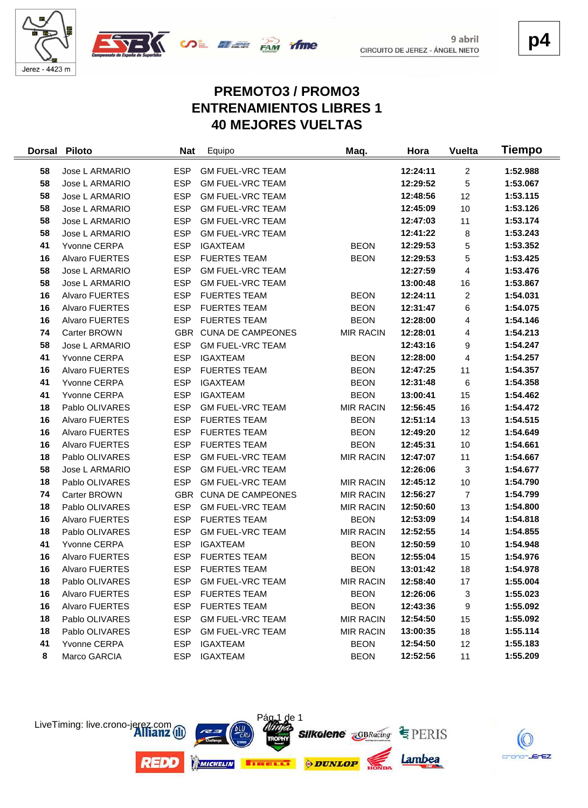





**p4**

# **PREMOTO3 / PROMO3 ENTRENAMIENTOS LIBRES 1 40 MEJORES VUELTAS**

| <b>Dorsal</b> | <b>Piloto</b>         | <b>Nat</b> | Equipo                   | Maq.             | Hora     | <b>Vuelta</b>           | Tiempo   |
|---------------|-----------------------|------------|--------------------------|------------------|----------|-------------------------|----------|
| 58            | Jose L ARMARIO        | <b>ESP</b> | <b>GM FUEL-VRC TEAM</b>  |                  | 12:24:11 | $\overline{2}$          | 1:52.988 |
| 58            | Jose L ARMARIO        | <b>ESP</b> | <b>GM FUEL-VRC TEAM</b>  |                  | 12:29:52 | 5                       | 1:53.067 |
| 58            | Jose L ARMARIO        | <b>ESP</b> | <b>GM FUEL-VRC TEAM</b>  |                  | 12:48:56 | 12                      | 1:53.115 |
| 58            | Jose L ARMARIO        | <b>ESP</b> | <b>GM FUEL-VRC TEAM</b>  |                  | 12:45:09 | $10$                    | 1:53.126 |
| 58            | Jose L ARMARIO        | <b>ESP</b> | <b>GM FUEL-VRC TEAM</b>  |                  | 12:47:03 | 11                      | 1:53.174 |
| 58            | Jose L ARMARIO        | <b>ESP</b> | <b>GM FUEL-VRC TEAM</b>  |                  | 12:41:22 | 8                       | 1:53.243 |
| 41            | Yvonne CERPA          | <b>ESP</b> | <b>IGAXTEAM</b>          | <b>BEON</b>      | 12:29:53 | 5                       | 1:53.352 |
| 16            | <b>Alvaro FUERTES</b> | <b>ESP</b> | <b>FUERTES TEAM</b>      | <b>BEON</b>      | 12:29:53 | 5                       | 1:53.425 |
| 58            | Jose L ARMARIO        | <b>ESP</b> | <b>GM FUEL-VRC TEAM</b>  |                  | 12:27:59 | 4                       | 1:53.476 |
| 58            | Jose L ARMARIO        | <b>ESP</b> | <b>GM FUEL-VRC TEAM</b>  |                  | 13:00:48 | 16                      | 1:53.867 |
| 16            | <b>Alvaro FUERTES</b> | <b>ESP</b> | <b>FUERTES TEAM</b>      | <b>BEON</b>      | 12:24:11 | $\overline{\mathbf{c}}$ | 1:54.031 |
| 16            | Alvaro FUERTES        | <b>ESP</b> | <b>FUERTES TEAM</b>      | <b>BEON</b>      | 12:31:47 | 6                       | 1:54.075 |
| 16            | Alvaro FUERTES        | <b>ESP</b> | <b>FUERTES TEAM</b>      | <b>BEON</b>      | 12:28:00 | 4                       | 1:54.146 |
| 74            | Carter BROWN          | GBR        | <b>CUNA DE CAMPEONES</b> | <b>MIR RACIN</b> | 12:28:01 | 4                       | 1:54.213 |
| 58            | Jose L ARMARIO        | <b>ESP</b> | <b>GM FUEL-VRC TEAM</b>  |                  | 12:43:16 | 9                       | 1:54.247 |
| 41            | Yvonne CERPA          | <b>ESP</b> | <b>IGAXTEAM</b>          | <b>BEON</b>      | 12:28:00 | 4                       | 1:54.257 |
| 16            | Alvaro FUERTES        | <b>ESP</b> | <b>FUERTES TEAM</b>      | <b>BEON</b>      | 12:47:25 | 11                      | 1:54.357 |
| 41            | Yvonne CERPA          | <b>ESP</b> | <b>IGAXTEAM</b>          | <b>BEON</b>      | 12:31:48 | $\,6\,$                 | 1:54.358 |
| 41            | Yvonne CERPA          | <b>ESP</b> | <b>IGAXTEAM</b>          | <b>BEON</b>      | 13:00:41 | 15                      | 1:54.462 |
| 18            | Pablo OLIVARES        | <b>ESP</b> | <b>GM FUEL-VRC TEAM</b>  | <b>MIR RACIN</b> | 12:56:45 | 16                      | 1:54.472 |
| 16            | Alvaro FUERTES        | <b>ESP</b> | <b>FUERTES TEAM</b>      | <b>BEON</b>      | 12:51:14 | 13                      | 1:54.515 |
| 16            | Alvaro FUERTES        | <b>ESP</b> | <b>FUERTES TEAM</b>      | <b>BEON</b>      | 12:49:20 | 12                      | 1:54.649 |
| 16            | Alvaro FUERTES        | <b>ESP</b> | <b>FUERTES TEAM</b>      | <b>BEON</b>      | 12:45:31 | 10                      | 1:54.661 |
| 18            | Pablo OLIVARES        | <b>ESP</b> | <b>GM FUEL-VRC TEAM</b>  | <b>MIR RACIN</b> | 12:47:07 | 11                      | 1:54.667 |
| 58            | Jose L ARMARIO        | <b>ESP</b> | <b>GM FUEL-VRC TEAM</b>  |                  | 12:26:06 | 3                       | 1:54.677 |
| 18            | Pablo OLIVARES        | <b>ESP</b> | <b>GM FUEL-VRC TEAM</b>  | <b>MIR RACIN</b> | 12:45:12 | 10                      | 1:54.790 |
| 74            | Carter BROWN          |            | GBR CUNA DE CAMPEONES    | <b>MIR RACIN</b> | 12:56:27 | $\overline{7}$          | 1:54.799 |
| 18            | Pablo OLIVARES        | <b>ESP</b> | <b>GM FUEL-VRC TEAM</b>  | <b>MIR RACIN</b> | 12:50:60 | 13                      | 1:54.800 |
| 16            | Alvaro FUERTES        | <b>ESP</b> | <b>FUERTES TEAM</b>      | <b>BEON</b>      | 12:53:09 | 14                      | 1:54.818 |
| 18            | Pablo OLIVARES        | <b>ESP</b> | <b>GM FUEL-VRC TEAM</b>  | <b>MIR RACIN</b> | 12:52:55 | 14                      | 1:54.855 |
| 41            | Yvonne CERPA          | <b>ESP</b> | <b>IGAXTEAM</b>          | <b>BEON</b>      | 12:50:59 | 10                      | 1:54.948 |
| 16            | Alvaro FUERTES        | <b>ESP</b> | <b>FUERTES TEAM</b>      | <b>BEON</b>      | 12:55:04 | 15                      | 1:54.976 |
| 16            | <b>Alvaro FUERTES</b> | <b>ESP</b> | <b>FUERTES TEAM</b>      | <b>BEON</b>      | 13:01:42 | 18                      | 1:54.978 |
| 18            | Pablo OLIVARES        | <b>ESP</b> | <b>GM FUEL-VRC TEAM</b>  | <b>MIR RACIN</b> | 12:58:40 | 17                      | 1:55.004 |
| 16            | Alvaro FUERTES        | <b>ESP</b> | <b>FUERTES TEAM</b>      | <b>BEON</b>      | 12:26:06 | 3                       | 1:55.023 |
| 16            | Alvaro FUERTES        | <b>ESP</b> | <b>FUERTES TEAM</b>      | <b>BEON</b>      | 12:43:36 | 9                       | 1:55.092 |
| 18            | Pablo OLIVARES        | <b>ESP</b> | <b>GM FUEL-VRC TEAM</b>  | <b>MIR RACIN</b> | 12:54:50 | 15                      | 1:55.092 |
| 18            | Pablo OLIVARES        | <b>ESP</b> | <b>GM FUEL-VRC TEAM</b>  | <b>MIR RACIN</b> | 13:00:35 | 18                      | 1:55.114 |
| 41            | Yvonne CERPA          | <b>ESP</b> | IGAXTEAM                 | <b>BEON</b>      | 12:54:50 | 12                      | 1:55.183 |
| 8             | Marco GARCIA          | <b>ESP</b> | <b>IGAXTEAM</b>          | <b>BEON</b>      | 12:52:56 | 11                      | 1:55.209 |



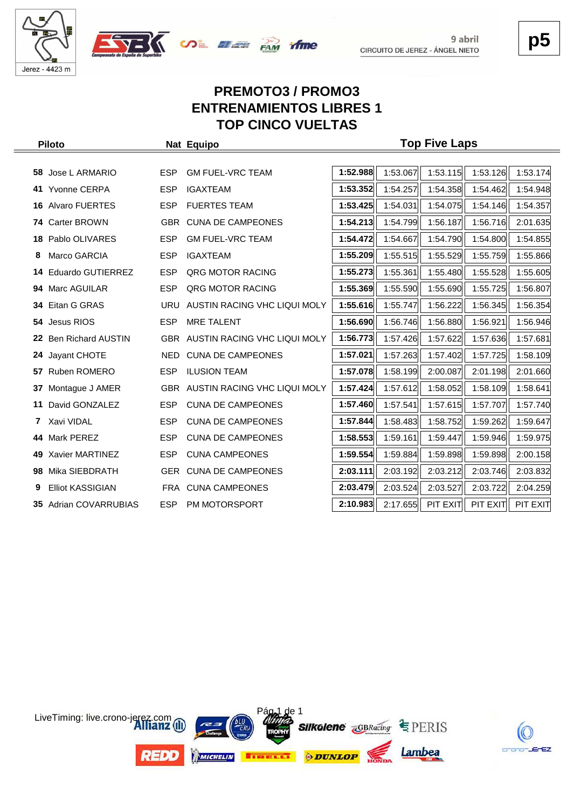





# **PREMOTO3 / PROMO3 ENTRENAMIENTOS LIBRES 1 TOP CINCO VUELTAS**

|     | <b>Piloto</b>             |            | Nat Equipo                   |          |          | <b>Top Five Laps</b> |          |          |
|-----|---------------------------|------------|------------------------------|----------|----------|----------------------|----------|----------|
|     |                           |            |                              |          |          |                      |          |          |
| 58  | Jose L ARMARIO            | <b>ESP</b> | <b>GM FUEL-VRC TEAM</b>      | 1:52.988 | 1:53.067 | 1:53.115             | 1:53.126 | 1:53.174 |
| 41  | Yvonne CERPA              | <b>ESP</b> | <b>IGAXTEAM</b>              | 1:53.352 | 1:54.257 | 1:54.358             | 1:54.462 | 1:54.948 |
| 16. | <b>Alvaro FUERTES</b>     | <b>ESP</b> | <b>FUERTES TEAM</b>          | 1:53.425 | 1:54.031 | 1:54.075             | 1:54.146 | 1:54.357 |
| 74. | <b>Carter BROWN</b>       | <b>GBR</b> | <b>CUNA DE CAMPEONES</b>     | 1:54.213 | 1:54.799 | 1:56.187             | 1:56.716 | 2:01.635 |
| 18  | Pablo OLIVARES            | <b>ESP</b> | <b>GM FUEL-VRC TEAM</b>      | 1:54.472 | 1:54.667 | 1:54.790             | 1:54.800 | 1:54.855 |
| 8   | Marco GARCIA              | <b>ESP</b> | <b>IGAXTEAM</b>              | 1:55.209 | 1:55.515 | 1:55.529             | 1:55.759 | 1:55.866 |
| 14  | Eduardo GUTIERREZ         | <b>ESP</b> | <b>QRG MOTOR RACING</b>      | 1:55.273 | 1:55.361 | 1:55.480             | 1:55.528 | 1:55.605 |
| 94  | Marc AGUILAR              | <b>ESP</b> | QRG MOTOR RACING             | 1:55.369 | 1:55.590 | 1:55.690             | 1:55.725 | 1:56.807 |
| 34  | Eitan G GRAS              | <b>URU</b> | AUSTIN RACING VHC LIQUI MOLY | 1:55.616 | 1:55.747 | 1:56.222             | 1:56.345 | 1:56.354 |
| 54  | Jesus RIOS                | <b>ESP</b> | <b>MRE TALENT</b>            | 1:56.690 | 1:56.746 | 1:56.880             | 1:56.921 | 1:56.946 |
| 22  | <b>Ben Richard AUSTIN</b> | GBR        | AUSTIN RACING VHC LIQUI MOLY | 1:56.773 | 1:57.426 | 1:57.622             | 1:57.636 | 1:57.681 |
| 24  | Jayant CHOTE              | NED.       | <b>CUNA DE CAMPEONES</b>     | 1:57.021 | 1:57.263 | 1:57.402             | 1:57.725 | 1:58.109 |
| 57. | <b>Ruben ROMERO</b>       | <b>ESP</b> | <b>ILUSION TEAM</b>          | 1:57.078 | 1:58.199 | 2:00.087             | 2:01.198 | 2:01.660 |
| 37  | Montague J AMER           | <b>GBR</b> | AUSTIN RACING VHC LIQUI MOLY | 1:57.424 | 1:57.612 | 1:58.052             | 1:58.109 | 1:58.641 |
| 11  | David GONZALEZ            | <b>ESP</b> | <b>CUNA DE CAMPEONES</b>     | 1:57.460 | 1:57.541 | 1:57.615             | 1:57.707 | 1:57.740 |
| 7   | Xavi VIDAL                | <b>ESP</b> | <b>CUNA DE CAMPEONES</b>     | 1:57.844 | 1:58.483 | 1:58.752             | 1:59.262 | 1:59.647 |
| 44  | Mark PEREZ                | <b>ESP</b> | <b>CUNA DE CAMPEONES</b>     | 1:58.553 | 1:59.161 | 1:59.447             | 1:59.946 | 1:59.975 |
| 49. | Xavier MARTINEZ           | <b>ESP</b> | <b>CUNA CAMPEONES</b>        | 1:59.554 | 1:59.884 | 1:59.898             | 1:59.898 | 2:00.158 |
| 98  | Mika SIEBDRATH            | <b>GER</b> | <b>CUNA DE CAMPEONES</b>     | 2:03.111 | 2:03.192 | 2:03.212             | 2:03.746 | 2:03.832 |
| 9   | <b>Elliot KASSIGIAN</b>   |            | FRA CUNA CAMPEONES           | 2:03.479 | 2:03.524 | 2:03.527             | 2:03.722 | 2:04.259 |
|     | 35 Adrian COVARRUBIAS     | <b>ESP</b> | <b>PM MOTORSPORT</b>         | 2:10.983 | 2:17.655 | PIT EXIT             | PIT EXIT | PIT EXIT |

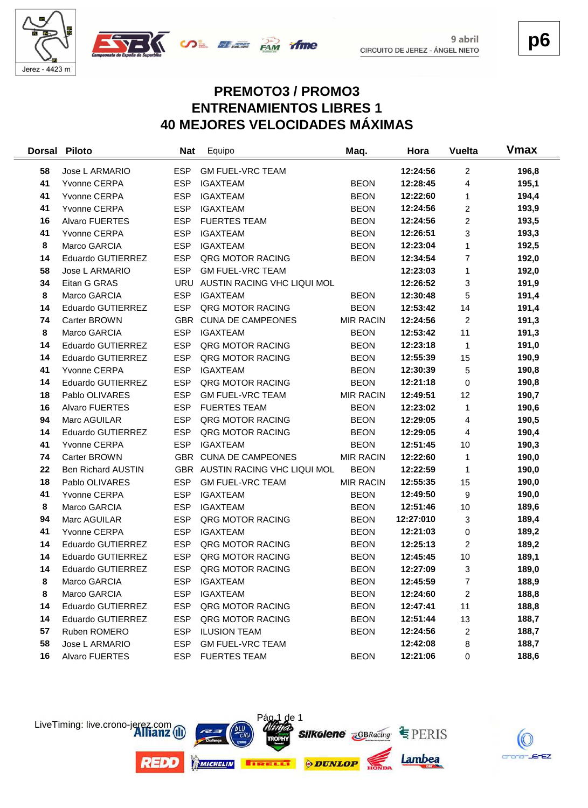

 $\frac{1}{2}$ 



**p6**

# **PREMOTO3 / PROMO3 ENTRENAMIENTOS LIBRES 1 40 MEJORES VELOCIDADES MÁXIMAS**

| <b>Dorsal</b> | <b>Piloto</b>             | <b>Nat</b> | Equipo                          | Maq.             | Hora      | <b>Vuelta</b>           | <b>Vmax</b> |
|---------------|---------------------------|------------|---------------------------------|------------------|-----------|-------------------------|-------------|
| 58            | Jose L ARMARIO            | <b>ESP</b> | <b>GM FUEL-VRC TEAM</b>         |                  | 12:24:56  | 2                       | 196,8       |
| 41            | Yvonne CERPA              | <b>ESP</b> | <b>IGAXTEAM</b>                 | <b>BEON</b>      | 12:28:45  | $\overline{4}$          | 195,1       |
| 41            | Yvonne CERPA              | <b>ESP</b> | <b>IGAXTEAM</b>                 | <b>BEON</b>      | 12:22:60  | 1                       | 194,4       |
| 41            | Yvonne CERPA              | <b>ESP</b> | <b>IGAXTEAM</b>                 | <b>BEON</b>      | 12:24:56  | 2                       | 193,9       |
| 16            | Alvaro FUERTES            | <b>ESP</b> | <b>FUERTES TEAM</b>             | <b>BEON</b>      | 12:24:56  | $\overline{\mathbf{c}}$ | 193,5       |
| 41            | Yvonne CERPA              | <b>ESP</b> | <b>IGAXTEAM</b>                 | <b>BEON</b>      | 12:26:51  | 3                       | 193,3       |
| 8             | Marco GARCIA              | <b>ESP</b> | <b>IGAXTEAM</b>                 | <b>BEON</b>      | 12:23:04  | 1                       | 192,5       |
| 14            | Eduardo GUTIERREZ         | <b>ESP</b> | QRG MOTOR RACING                | <b>BEON</b>      | 12:34:54  | $\overline{7}$          | 192,0       |
| 58            | Jose L ARMARIO            | <b>ESP</b> | <b>GM FUEL-VRC TEAM</b>         |                  | 12:23:03  | 1                       | 192,0       |
| 34            | Eitan G GRAS              | <b>URU</b> | AUSTIN RACING VHC LIQUI MOL     |                  | 12:26:52  | 3                       | 191,9       |
| 8             | Marco GARCIA              | <b>ESP</b> | <b>IGAXTEAM</b>                 | <b>BEON</b>      | 12:30:48  | 5                       | 191,4       |
| 14            | Eduardo GUTIERREZ         | <b>ESP</b> | QRG MOTOR RACING                | <b>BEON</b>      | 12:53:42  | 14                      | 191,4       |
| 74            | Carter BROWN              | <b>GBR</b> | <b>CUNA DE CAMPEONES</b>        | <b>MIR RACIN</b> | 12:24:56  | $\overline{c}$          | 191,3       |
| 8             | Marco GARCIA              | <b>ESP</b> | <b>IGAXTEAM</b>                 | <b>BEON</b>      | 12:53:42  | 11                      | 191,3       |
| 14            | Eduardo GUTIERREZ         | <b>ESP</b> | <b>QRG MOTOR RACING</b>         | <b>BEON</b>      | 12:23:18  | 1                       | 191,0       |
| 14            | Eduardo GUTIERREZ         | <b>ESP</b> | QRG MOTOR RACING                | <b>BEON</b>      | 12:55:39  | 15                      | 190,9       |
| 41            | Yvonne CERPA              | <b>ESP</b> | <b>IGAXTEAM</b>                 | <b>BEON</b>      | 12:30:39  | 5                       | 190,8       |
| 14            | Eduardo GUTIERREZ         | <b>ESP</b> | QRG MOTOR RACING                | <b>BEON</b>      | 12:21:18  | 0                       | 190,8       |
| 18            | Pablo OLIVARES            | <b>ESP</b> | <b>GM FUEL-VRC TEAM</b>         | <b>MIR RACIN</b> | 12:49:51  | 12                      | 190,7       |
| 16            | Alvaro FUERTES            | <b>ESP</b> | <b>FUERTES TEAM</b>             | <b>BEON</b>      | 12:23:02  | $\mathbf{1}$            | 190,6       |
| 94            | Marc AGUILAR              | <b>ESP</b> | QRG MOTOR RACING                | <b>BEON</b>      | 12:29:05  | 4                       | 190,5       |
| 14            | Eduardo GUTIERREZ         | <b>ESP</b> | QRG MOTOR RACING                | <b>BEON</b>      | 12:29:05  | 4                       | 190,4       |
| 41            | Yvonne CERPA              | <b>ESP</b> | <b>IGAXTEAM</b>                 | <b>BEON</b>      | 12:51:45  | 10                      | 190,3       |
| 74            | Carter BROWN              | <b>GBR</b> | <b>CUNA DE CAMPEONES</b>        | <b>MIR RACIN</b> | 12:22:60  | 1                       | 190,0       |
| 22            | <b>Ben Richard AUSTIN</b> |            | GBR AUSTIN RACING VHC LIQUI MOL | <b>BEON</b>      | 12:22:59  | 1                       | 190,0       |
| 18            | Pablo OLIVARES            | <b>ESP</b> | <b>GM FUEL-VRC TEAM</b>         | <b>MIR RACIN</b> | 12:55:35  | 15                      | 190,0       |
| 41            | Yvonne CERPA              | <b>ESP</b> | <b>IGAXTEAM</b>                 | <b>BEON</b>      | 12:49:50  | 9                       | 190,0       |
| 8             | Marco GARCIA              | <b>ESP</b> | <b>IGAXTEAM</b>                 | <b>BEON</b>      | 12:51:46  | 10                      | 189,6       |
| 94            | Marc AGUILAR              | <b>ESP</b> | <b>QRG MOTOR RACING</b>         | <b>BEON</b>      | 12:27:010 | 3                       | 189,4       |
| 41            | Yvonne CERPA              | <b>ESP</b> | <b>IGAXTEAM</b>                 | <b>BEON</b>      | 12:21:03  | 0                       | 189,2       |
| 14            | Eduardo GUTIERREZ         | <b>ESP</b> | QRG MOTOR RACING                | <b>BEON</b>      | 12:25:13  | 2                       | 189,2       |
| 14            | Eduardo GUTIERREZ         | <b>ESP</b> | QRG MOTOR RACING                | <b>BEON</b>      | 12:45:45  | 10                      | 189,1       |
| 14            | Eduardo GUTIERREZ         | <b>ESP</b> | QRG MOTOR RACING                | <b>BEON</b>      | 12:27:09  | 3                       | 189,0       |
| 8             | Marco GARCIA              | <b>ESP</b> | <b>IGAXTEAM</b>                 | <b>BEON</b>      | 12:45:59  | $\overline{7}$          | 188,9       |
| 8             | Marco GARCIA              | <b>ESP</b> | <b>IGAXTEAM</b>                 | <b>BEON</b>      | 12:24:60  | 2                       | 188,8       |
| 14            | Eduardo GUTIERREZ         | <b>ESP</b> | QRG MOTOR RACING                | <b>BEON</b>      | 12:47:41  | 11                      | 188,8       |
| 14            | Eduardo GUTIERREZ         | <b>ESP</b> | QRG MOTOR RACING                | <b>BEON</b>      | 12:51:44  | 13                      | 188,7       |
| 57            | Ruben ROMERO              | ESP        | <b>ILUSION TEAM</b>             | <b>BEON</b>      | 12:24:56  | 2                       | 188,7       |
| 58            | Jose L ARMARIO            | <b>ESP</b> | <b>GM FUEL-VRC TEAM</b>         |                  | 12:42:08  | 8                       | 188,7       |
| 16            | Alvaro FUERTES            | <b>ESP</b> | <b>FUERTES TEAM</b>             | <b>BEON</b>      | 12:21:06  | 0                       | 188,6       |